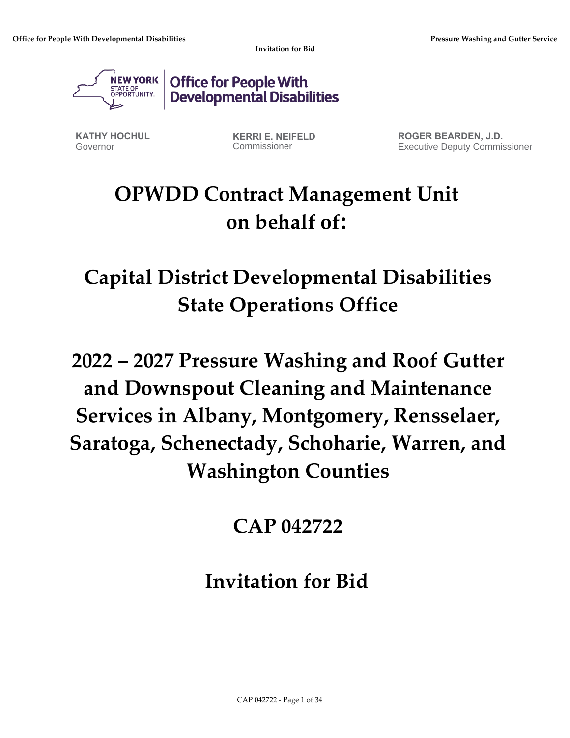

**Office for People With Developmental Disabilities** 

**KATHY HOCHUL** Governor

**KERRI E. NEIFELD** Commissioner

**ROGER BEARDEN, J.D.** Executive Deputy Commissioner

# **OPWDD Contract Management Unit on behalf of:**

**Capital District Developmental Disabilities State Operations Office** 

**2022 – 2027 Pressure Washing and Roof Gutter and Downspout Cleaning and Maintenance Services in Albany, Montgomery, Rensselaer, Saratoga, Schenectady, Schoharie, Warren, and Washington Counties**

**CAP 042722**

**Invitation for Bid**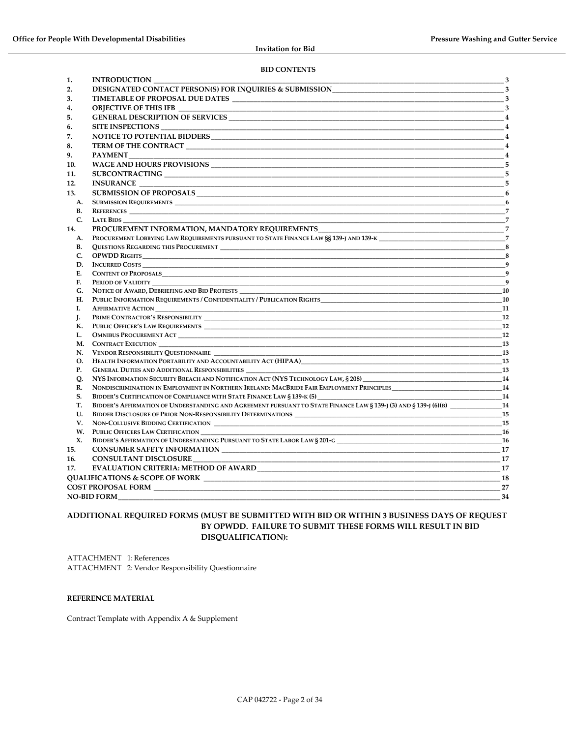#### **BID CONTENTS**

| 1.        | <b>INTRODUCTION</b><br>$\sim$ 3                                                                                       |                                                                                                                                                                                                                                                                                                                                                                                                                                                                                                   |
|-----------|-----------------------------------------------------------------------------------------------------------------------|---------------------------------------------------------------------------------------------------------------------------------------------------------------------------------------------------------------------------------------------------------------------------------------------------------------------------------------------------------------------------------------------------------------------------------------------------------------------------------------------------|
| 2.        |                                                                                                                       |                                                                                                                                                                                                                                                                                                                                                                                                                                                                                                   |
| 3.        |                                                                                                                       |                                                                                                                                                                                                                                                                                                                                                                                                                                                                                                   |
| 4.        | OBJECTIVE OF THIS IFB ________                                                                                        |                                                                                                                                                                                                                                                                                                                                                                                                                                                                                                   |
| 5.        |                                                                                                                       |                                                                                                                                                                                                                                                                                                                                                                                                                                                                                                   |
| 6.        | <b>SITE INSPECTIONS</b>                                                                                               | $\overline{4}$                                                                                                                                                                                                                                                                                                                                                                                                                                                                                    |
| 7.        |                                                                                                                       | $\frac{1}{2}$ $\frac{4}{4}$                                                                                                                                                                                                                                                                                                                                                                                                                                                                       |
| 8.        |                                                                                                                       |                                                                                                                                                                                                                                                                                                                                                                                                                                                                                                   |
| 9.        | <b>PAYMENT</b>                                                                                                        | $\overline{\phantom{1}}$ $\overline{\phantom{1}}$ $\overline{\phantom{1}}$ $\overline{\phantom{1}}$ $\overline{\phantom{1}}$ $\overline{\phantom{1}}$ $\overline{\phantom{1}}$ $\overline{\phantom{1}}$ $\overline{\phantom{1}}$ $\overline{\phantom{1}}$ $\overline{\phantom{1}}$ $\overline{\phantom{1}}$ $\overline{\phantom{1}}$ $\overline{\phantom{1}}$ $\overline{\phantom{1}}$ $\overline{\phantom{1}}$ $\overline{\phantom{1}}$ $\overline{\phantom{1}}$ $\overline{\$<br>$\overline{4}$ |
|           |                                                                                                                       | $-5$                                                                                                                                                                                                                                                                                                                                                                                                                                                                                              |
| 10.       |                                                                                                                       |                                                                                                                                                                                                                                                                                                                                                                                                                                                                                                   |
| 11.       | SUBCONTRACTING 5                                                                                                      |                                                                                                                                                                                                                                                                                                                                                                                                                                                                                                   |
| 12.       | <b>INSURANCE <i>CONTRASTER AND CONTRASTER AND CONTRASTER AND CONTRASTER</i></b>                                       | 5                                                                                                                                                                                                                                                                                                                                                                                                                                                                                                 |
| 13.       |                                                                                                                       | $\sim$ 6                                                                                                                                                                                                                                                                                                                                                                                                                                                                                          |
| A.        | <b>SUBMISSION REQUIREMENTS</b>                                                                                        | - 6                                                                                                                                                                                                                                                                                                                                                                                                                                                                                               |
| В.        | <b>REFERENCES</b>                                                                                                     | $\overline{7}$                                                                                                                                                                                                                                                                                                                                                                                                                                                                                    |
| C.        | <b>LATE BIDS</b>                                                                                                      |                                                                                                                                                                                                                                                                                                                                                                                                                                                                                                   |
| 14.       | PROCUREMENT INFORMATION, MANDATORY REOUIREMENTS                                                                       | $\overline{7}$                                                                                                                                                                                                                                                                                                                                                                                                                                                                                    |
| А.        |                                                                                                                       |                                                                                                                                                                                                                                                                                                                                                                                                                                                                                                   |
| <b>B.</b> |                                                                                                                       | -8                                                                                                                                                                                                                                                                                                                                                                                                                                                                                                |
| C.        |                                                                                                                       | $\overline{\phantom{1}}$ 8                                                                                                                                                                                                                                                                                                                                                                                                                                                                        |
| D.        | <b>INCURRED COSTS</b>                                                                                                 | $\overline{9}$                                                                                                                                                                                                                                                                                                                                                                                                                                                                                    |
| E.        |                                                                                                                       | $\overline{9}$                                                                                                                                                                                                                                                                                                                                                                                                                                                                                    |
| F.        | PERIOD OF VALIDITY                                                                                                    | $\overline{q}$                                                                                                                                                                                                                                                                                                                                                                                                                                                                                    |
| G.        |                                                                                                                       | <b>10</b>                                                                                                                                                                                                                                                                                                                                                                                                                                                                                         |
| Н.        | PUBLIC INFORMATION REQUIREMENTS / CONFIDENTIALITY / PUBLICATION RIGHTS                                                | <b>10</b>                                                                                                                                                                                                                                                                                                                                                                                                                                                                                         |
| Ι.        |                                                                                                                       | 11                                                                                                                                                                                                                                                                                                                                                                                                                                                                                                |
| J.        |                                                                                                                       | <b>12</b>                                                                                                                                                                                                                                                                                                                                                                                                                                                                                         |
| К.        |                                                                                                                       | <b>12</b>                                                                                                                                                                                                                                                                                                                                                                                                                                                                                         |
| L.        | <b>OMNIBUS PROCUREMENT ACT</b>                                                                                        | 12                                                                                                                                                                                                                                                                                                                                                                                                                                                                                                |
| М.<br>N.  | CONTRACT EXECUTION<br>VENDOR RESPONSIBILITY QUESTIONNAIRE                                                             | 13<br><b>13</b>                                                                                                                                                                                                                                                                                                                                                                                                                                                                                   |
| О.        | HEALTH INFORMATION PORTABILITY AND ACCOUNTABILITY ACT (HIPAA)                                                         | <b>13</b>                                                                                                                                                                                                                                                                                                                                                                                                                                                                                         |
| P.        | GENERAL DUTIES AND ADDITIONAL RESPONSIBILITIES __________________________________                                     | <b>13</b>                                                                                                                                                                                                                                                                                                                                                                                                                                                                                         |
| О.        | NYS INFORMATION SECURITY BREACH AND NOTIFICATION ACT (NYS TECHNOLOGY LAW, § 208)                                      | - 14                                                                                                                                                                                                                                                                                                                                                                                                                                                                                              |
| R.        | NONDISCRIMINATION IN EMPLOYMENT IN NORTHERN IRELAND: MACBRIDE FAIR EMPLOYMENT PRINCIPLES 14 14                        |                                                                                                                                                                                                                                                                                                                                                                                                                                                                                                   |
| S.        | BIDDER'S CERTIFICATION OF COMPLIANCE WITH STATE FINANCE LAW § 139-K (5)                                               | <b>14</b>                                                                                                                                                                                                                                                                                                                                                                                                                                                                                         |
| Т.        | BIDDER'S AFFIRMATION OF UNDERSTANDING AND AGREEMENT PURSUANT TO STATE FINANCE LAW § 139-J (3) AND § 139-J (6)(B)      | <b>14</b>                                                                                                                                                                                                                                                                                                                                                                                                                                                                                         |
| U.        |                                                                                                                       | 15                                                                                                                                                                                                                                                                                                                                                                                                                                                                                                |
| V.        | NON-COLLUSIVE BIDDING CERTIFICATION                                                                                   | 15                                                                                                                                                                                                                                                                                                                                                                                                                                                                                                |
| W.        | 16                                                                                                                    |                                                                                                                                                                                                                                                                                                                                                                                                                                                                                                   |
| X.        |                                                                                                                       | <b>16</b>                                                                                                                                                                                                                                                                                                                                                                                                                                                                                         |
| 15.       |                                                                                                                       |                                                                                                                                                                                                                                                                                                                                                                                                                                                                                                   |
| 16.       | <b>CONSULTANT DISCLOSURE</b>                                                                                          | 17                                                                                                                                                                                                                                                                                                                                                                                                                                                                                                |
| 17.       |                                                                                                                       | 17                                                                                                                                                                                                                                                                                                                                                                                                                                                                                                |
|           |                                                                                                                       | 18                                                                                                                                                                                                                                                                                                                                                                                                                                                                                                |
|           | <b>COST PROPOSAL FORM EXAMPLE THE SERVICE SERVICE SERVICE SERVICE SERVICE SERVICE SERVICE SERVICE SERVICE SERVICE</b> | 27                                                                                                                                                                                                                                                                                                                                                                                                                                                                                                |
|           | <b>NO-BID FORM</b>                                                                                                    | 34                                                                                                                                                                                                                                                                                                                                                                                                                                                                                                |
|           |                                                                                                                       |                                                                                                                                                                                                                                                                                                                                                                                                                                                                                                   |

#### **ADDITIONAL REQUIRED FORMS (MUST BE SUBMITTED WITH BID OR WITHIN 3 BUSINESS DAYS OF REQUEST BY OPWDD. FAILURE TO SUBMIT THESE FORMS WILL RESULT IN BID DISQUALIFICATION):**

ATTACHMENT 1: References ATTACHMENT 2: Vendor Responsibility Questionnaire

#### **REFERENCE MATERIAL**

Contract Template with Appendix A & Supplement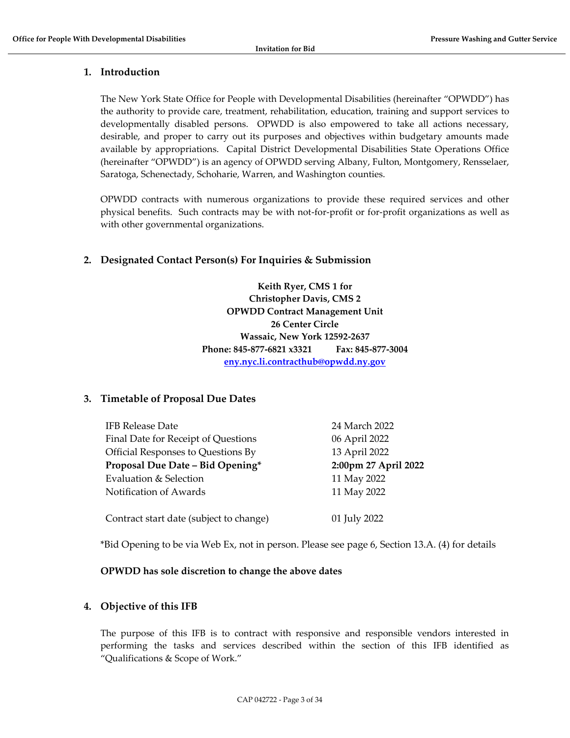### <span id="page-2-0"></span>**1. Introduction**

The New York State Office for People with Developmental Disabilities (hereinafter "OPWDD") has the authority to provide care, treatment, rehabilitation, education, training and support services to developmentally disabled persons. OPWDD is also empowered to take all actions necessary, desirable, and proper to carry out its purposes and objectives within budgetary amounts made available by appropriations. Capital District Developmental Disabilities State Operations Office (hereinafter "OPWDD") is an agency of OPWDD serving Albany, Fulton, Montgomery, Rensselaer, Saratoga, Schenectady, Schoharie, Warren, and Washington counties.

OPWDD contracts with numerous organizations to provide these required services and other physical benefits. Such contracts may be with not-for-profit or for-profit organizations as well as with other governmental organizations.

### <span id="page-2-1"></span>**2. Designated Contact Person(s) For Inquiries & Submission**

**Keith Ryer, CMS 1 for Christopher Davis, CMS 2 OPWDD Contract Management Unit 26 Center Circle Wassaic, New York 12592-2637 Phone: 845-877-6821 x3321 Fax: 845-877-3004 [eny.nyc.li.contracthub@opwdd.ny.gov](mailto:eny.nyc.li.contracthub@opwdd.ny.gov)**

### <span id="page-2-2"></span>**3. Timetable of Proposal Due Dates**

| <b>IFB Release Date</b>                 | 24 March 2022        |
|-----------------------------------------|----------------------|
| Final Date for Receipt of Questions     | 06 April 2022        |
| Official Responses to Questions By      | 13 April 2022        |
| Proposal Due Date - Bid Opening*        | 2:00pm 27 April 2022 |
| Evaluation & Selection                  | 11 May 2022          |
| Notification of Awards                  | 11 May 2022          |
| Contract start date (subject to change) | 01 July 2022         |

\*Bid Opening to be via Web Ex, not in person. Please see page 6, Section 13.A. (4) for details

### **OPWDD has sole discretion to change the above dates**

### <span id="page-2-3"></span>**4. Objective of this IFB**

The purpose of this IFB is to contract with responsive and responsible vendors interested in performing the tasks and services described within the section of this IFB identified as "Qualifications & Scope of Work."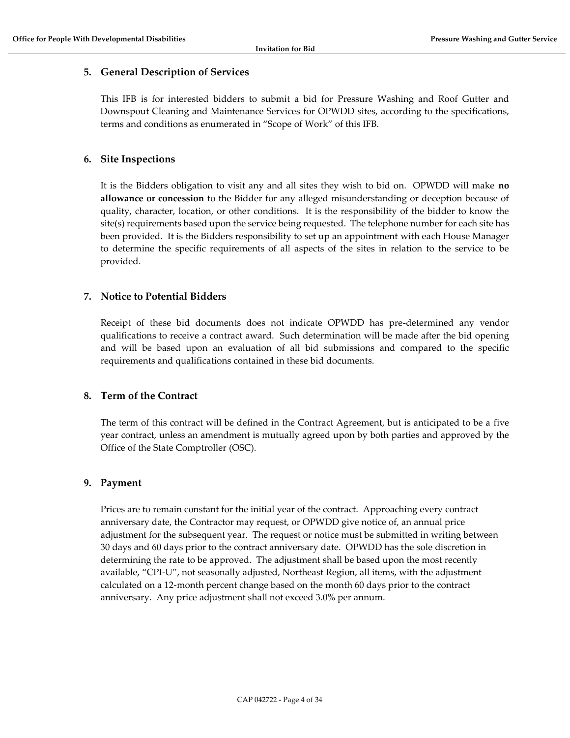### <span id="page-3-0"></span>**5. General Description of Services**

This IFB is for interested bidders to submit a bid for Pressure Washing and Roof Gutter and Downspout Cleaning and Maintenance Services for OPWDD sites, according to the specifications, terms and conditions as enumerated in "Scope of Work" of this IFB.

### <span id="page-3-1"></span>**6. Site Inspections**

It is the Bidders obligation to visit any and all sites they wish to bid on. OPWDD will make **no allowance or concession** to the Bidder for any alleged misunderstanding or deception because of quality, character, location, or other conditions. It is the responsibility of the bidder to know the site(s) requirements based upon the service being requested. The telephone number for each site has been provided. It is the Bidders responsibility to set up an appointment with each House Manager to determine the specific requirements of all aspects of the sites in relation to the service to be provided.

### <span id="page-3-2"></span>**7. Notice to Potential Bidders**

Receipt of these bid documents does not indicate OPWDD has pre-determined any vendor qualifications to receive a contract award. Such determination will be made after the bid opening and will be based upon an evaluation of all bid submissions and compared to the specific requirements and qualifications contained in these bid documents.

### <span id="page-3-3"></span>**8. Term of the Contract**

The term of this contract will be defined in the Contract Agreement, but is anticipated to be a five year contract, unless an amendment is mutually agreed upon by both parties and approved by the Office of the State Comptroller (OSC).

### <span id="page-3-4"></span>**9. Payment**

Prices are to remain constant for the initial year of the contract. Approaching every contract anniversary date, the Contractor may request, or OPWDD give notice of, an annual price adjustment for the subsequent year. The request or notice must be submitted in writing between 30 days and 60 days prior to the contract anniversary date. OPWDD has the sole discretion in determining the rate to be approved. The adjustment shall be based upon the most recently available, "CPI-U", not seasonally adjusted, Northeast Region, all items, with the adjustment calculated on a 12-month percent change based on the month 60 days prior to the contract anniversary. Any price adjustment shall not exceed 3.0% per annum.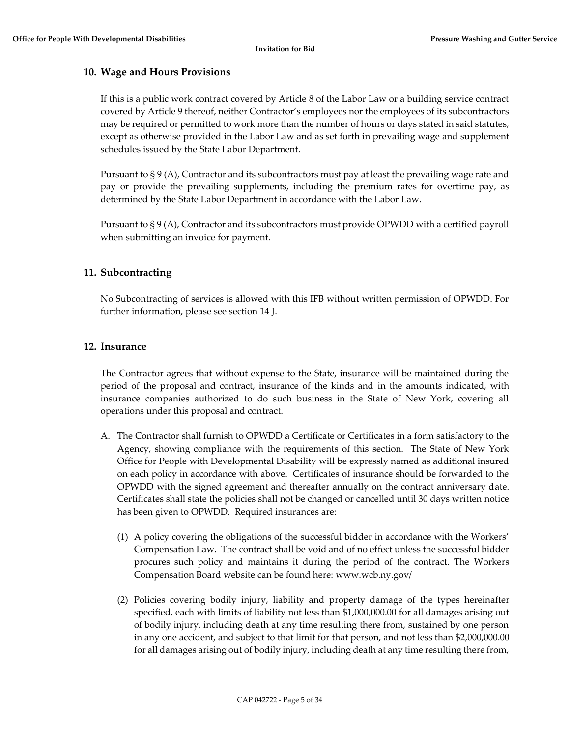#### <span id="page-4-0"></span>**10. Wage and Hours Provisions**

If this is a public work contract covered by Article 8 of the Labor Law or a building service contract covered by Article 9 thereof, neither Contractor's employees nor the employees of its subcontractors may be required or permitted to work more than the number of hours or days stated in said statutes, except as otherwise provided in the Labor Law and as set forth in prevailing wage and supplement schedules issued by the State Labor Department.

Pursuant to § 9 (A), Contractor and its subcontractors must pay at least the prevailing wage rate and pay or provide the prevailing supplements, including the premium rates for overtime pay, as determined by the State Labor Department in accordance with the Labor Law.

Pursuant to § 9 (A), Contractor and its subcontractors must provide OPWDD with a certified payroll when submitting an invoice for payment.

#### <span id="page-4-1"></span>**11. Subcontracting**

No Subcontracting of services is allowed with this IFB without written permission of OPWDD. For further information, please see section 14 J.

#### <span id="page-4-2"></span>**12. Insurance**

The Contractor agrees that without expense to the State, insurance will be maintained during the period of the proposal and contract, insurance of the kinds and in the amounts indicated, with insurance companies authorized to do such business in the State of New York, covering all operations under this proposal and contract.

- A. The Contractor shall furnish to OPWDD a Certificate or Certificates in a form satisfactory to the Agency, showing compliance with the requirements of this section. The State of New York Office for People with Developmental Disability will be expressly named as additional insured on each policy in accordance with above. Certificates of insurance should be forwarded to the OPWDD with the signed agreement and thereafter annually on the contract anniversary date. Certificates shall state the policies shall not be changed or cancelled until 30 days written notice has been given to OPWDD. Required insurances are:
	- (1) A policy covering the obligations of the successful bidder in accordance with the Workers' Compensation Law. The contract shall be void and of no effect unless the successful bidder procures such policy and maintains it during the period of the contract. The Workers Compensation Board website can be found here: www.wcb.ny.gov/
	- (2) Policies covering bodily injury, liability and property damage of the types hereinafter specified, each with limits of liability not less than \$1,000,000.00 for all damages arising out of bodily injury, including death at any time resulting there from, sustained by one person in any one accident, and subject to that limit for that person, and not less than \$2,000,000.00 for all damages arising out of bodily injury, including death at any time resulting there from,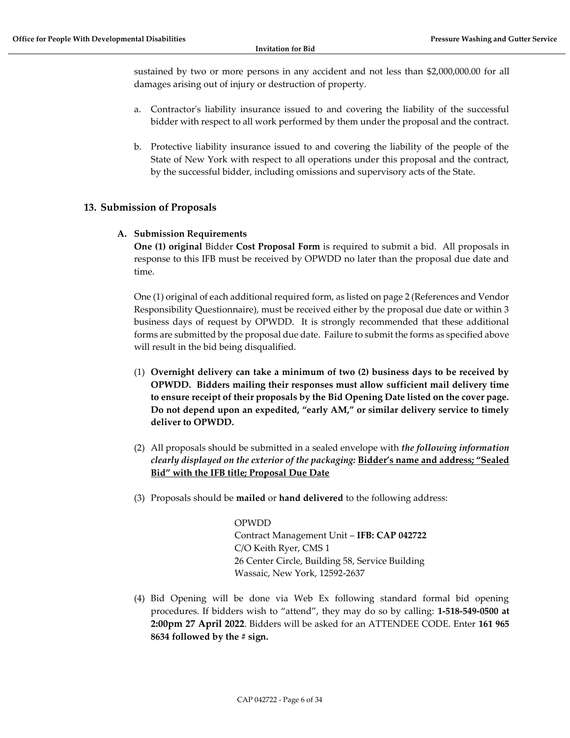sustained by two or more persons in any accident and not less than \$2,000,000.00 for all damages arising out of injury or destruction of property.

- a. Contractor's liability insurance issued to and covering the liability of the successful bidder with respect to all work performed by them under the proposal and the contract.
- b. Protective liability insurance issued to and covering the liability of the people of the State of New York with respect to all operations under this proposal and the contract, by the successful bidder, including omissions and supervisory acts of the State.

### <span id="page-5-1"></span><span id="page-5-0"></span>**13. Submission of Proposals**

#### **A. Submission Requirements**

**One (1) original** Bidder **Cost Proposal Form** is required to submit a bid. All proposals in response to this IFB must be received by OPWDD no later than the proposal due date and time.

One (1) original of each additional required form, as listed on page 2 (References and Vendor Responsibility Questionnaire), must be received either by the proposal due date or within 3 business days of request by OPWDD. It is strongly recommended that these additional forms are submitted by the proposal due date. Failure to submit the forms as specified above will result in the bid being disqualified.

- (1) **Overnight delivery can take a minimum of two (2) business days to be received by OPWDD. Bidders mailing their responses must allow sufficient mail delivery time to ensure receipt of their proposals by the Bid Opening Date listed on the cover page. Do not depend upon an expedited, "early AM," or similar delivery service to timely deliver to OPWDD.**
- (2) All proposals should be submitted in a sealed envelope with *the following information clearly displayed on the exterior of the packaging:* **Bidder's name and address; "Sealed Bid" with the IFB title; Proposal Due Date**
- (3) Proposals should be **mailed** or **hand delivered** to the following address:

OPWDD Contract Management Unit – **IFB: CAP 042722** C/O Keith Ryer, CMS 1 26 Center Circle, Building 58, Service Building Wassaic, New York, 12592-2637

(4) Bid Opening will be done via Web Ex following standard formal bid opening procedures. If bidders wish to "attend", they may do so by calling: **1-518-549-0500 at 2:00pm 27 April 2022**. Bidders will be asked for an ATTENDEE CODE. Enter **161 965 8634 followed by the # sign.**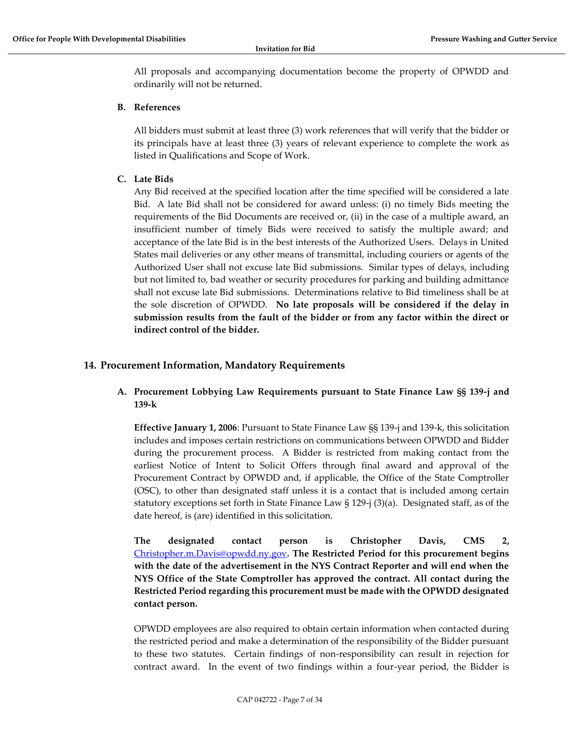All proposals and accompanying documentation become the property of OPWDD and ordinarily will not be returned.

#### <span id="page-6-0"></span>**B. References**

All bidders must submit at least three (3) work references that will verify that the bidder or its principals have at least three (3) years of relevant experience to complete the work as listed in Qualifications and Scope of Work.

<span id="page-6-1"></span>**C. Late Bids**

Any Bid received at the specified location after the time specified will be considered a late Bid. A late Bid shall not be considered for award unless: (i) no timely Bids meeting the requirements of the Bid Documents are received or, (ii) in the case of a multiple award, an insufficient number of timely Bids were received to satisfy the multiple award; and acceptance of the late Bid is in the best interests of the Authorized Users. Delays in United States mail deliveries or any other means of transmittal, including couriers or agents of the Authorized User shall not excuse late Bid submissions. Similar types of delays, including but not limited to, bad weather or security procedures for parking and building admittance shall not excuse late Bid submissions. Determinations relative to Bid timeliness shall be at the sole discretion of OPWDD. **No late proposals will be considered if the delay in submission results from the fault of the bidder or from any factor within the direct or indirect control of the bidder.**

### <span id="page-6-3"></span><span id="page-6-2"></span>**14. Procurement Information, Mandatory Requirements**

### **A. Procurement Lobbying Law Requirements pursuant to State Finance Law §§ 139-j and 139-k**

**Effective January 1, 2006**: Pursuant to State Finance Law §§ 139-j and 139-k, this solicitation includes and imposes certain restrictions on communications between OPWDD and Bidder during the procurement process. A Bidder is restricted from making contact from the earliest Notice of Intent to Solicit Offers through final award and approval of the Procurement Contract by OPWDD and, if applicable, the Office of the State Comptroller (OSC), to other than designated staff unless it is a contact that is included among certain statutory exceptions set forth in State Finance Law § 129-j (3)(a). Designated staff, as of the date hereof, is (are) identified in this solicitation.

**The designated contact person is Christopher Davis, CMS 2[,](mailto:%20Christopher.m.Davis@opwdd.ny.gov)** [Christopher.m.Davis@opwdd.ny.gov](mailto:%20Christopher.m.Davis@opwdd.ny.gov)**. The Restricted Period for this procurement begins with the date of the advertisement in the NYS Contract Reporter and will end when the NYS Office of the State Comptroller has approved the contract. All contact during the Restricted Period regarding this procurement must be made with the OPWDD designated contact person.** 

OPWDD employees are also required to obtain certain information when contacted during the restricted period and make a determination of the responsibility of the Bidder pursuant to these two statutes. Certain findings of non-responsibility can result in rejection for contract award. In the event of two findings within a four-year period, the Bidder is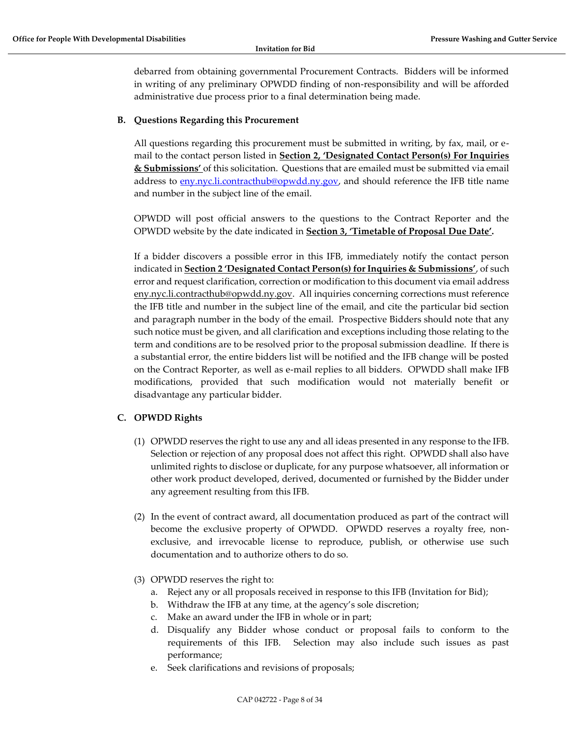debarred from obtaining governmental Procurement Contracts. Bidders will be informed in writing of any preliminary OPWDD finding of non-responsibility and will be afforded administrative due process prior to a final determination being made.

### <span id="page-7-0"></span>**B. Questions Regarding this Procurement**

All questions regarding this procurement must be submitted in writing, by fax, mail, or email to the contact person listed in **Section 2, 'Designated Contact Person(s) For Inquiries & Submissions'** of this solicitation. Questions that are emailed must be submitted via email address to [eny.nyc.li.contracthub@opwdd.ny.gov,](mailto:eny.nyc.li.contracthub@opwdd.ny.gov) and should reference the IFB title name and number in the subject line of the email.

OPWDD will post official answers to the questions to the Contract Reporter and the OPWDD website by the date indicated in **Section 3, 'Timetable of Proposal Due Date'.**

If a bidder discovers a possible error in this IFB, immediately notify the contact person indicated in **Section 2 'Designated Contact Person(s) for Inquiries & Submissions'**, of such error and request clarification, correction or modification to this document via email address eny.nyc.li.contracthub@opwdd.ny.gov. All inquiries concerning corrections must reference the IFB title and number in the subject line of the email, and cite the particular bid section and paragraph number in the body of the email. Prospective Bidders should note that any such notice must be given, and all clarification and exceptions including those relating to the term and conditions are to be resolved prior to the proposal submission deadline. If there is a substantial error, the entire bidders list will be notified and the IFB change will be posted on the Contract Reporter, as well as e-mail replies to all bidders. OPWDD shall make IFB modifications, provided that such modification would not materially benefit or disadvantage any particular bidder.

### <span id="page-7-1"></span>**C. OPWDD Rights**

- (1) OPWDD reserves the right to use any and all ideas presented in any response to the IFB. Selection or rejection of any proposal does not affect this right. OPWDD shall also have unlimited rights to disclose or duplicate, for any purpose whatsoever, all information or other work product developed, derived, documented or furnished by the Bidder under any agreement resulting from this IFB.
- (2) In the event of contract award, all documentation produced as part of the contract will become the exclusive property of OPWDD. OPWDD reserves a royalty free, nonexclusive, and irrevocable license to reproduce, publish, or otherwise use such documentation and to authorize others to do so.
- (3) OPWDD reserves the right to:
	- a. Reject any or all proposals received in response to this IFB (Invitation for Bid);
	- b. Withdraw the IFB at any time, at the agency's sole discretion;
	- c. Make an award under the IFB in whole or in part;
	- d. Disqualify any Bidder whose conduct or proposal fails to conform to the requirements of this IFB. Selection may also include such issues as past performance;
	- e. Seek clarifications and revisions of proposals;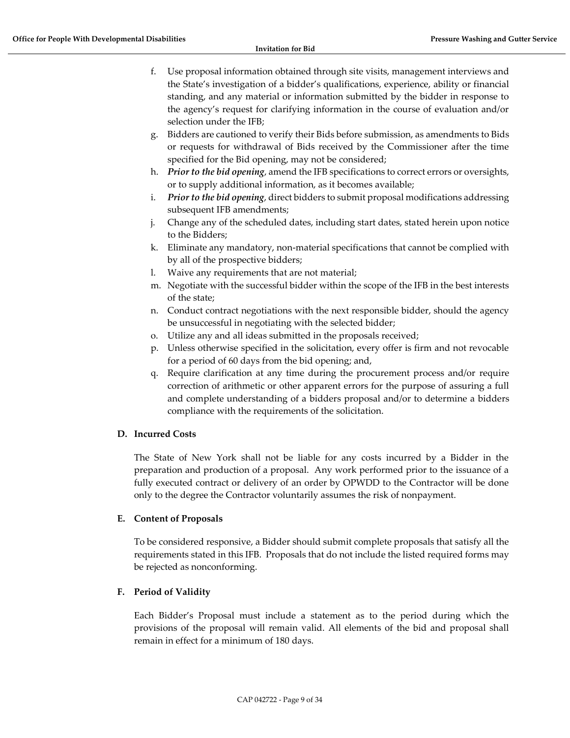- f. Use proposal information obtained through site visits, management interviews and the State's investigation of a bidder's qualifications, experience, ability or financial standing, and any material or information submitted by the bidder in response to the agency's request for clarifying information in the course of evaluation and/or selection under the IFB;
- g. Bidders are cautioned to verify their Bids before submission, as amendments to Bids or requests for withdrawal of Bids received by the Commissioner after the time specified for the Bid opening, may not be considered;
- h. *Prior to the bid opening*, amend the IFB specifications to correct errors or oversights, or to supply additional information, as it becomes available;
- i. *Prior to the bid opening*, direct bidders to submit proposal modifications addressing subsequent IFB amendments;
- j. Change any of the scheduled dates, including start dates, stated herein upon notice to the Bidders;
- k. Eliminate any mandatory, non-material specifications that cannot be complied with by all of the prospective bidders;
- l. Waive any requirements that are not material;
- m. Negotiate with the successful bidder within the scope of the IFB in the best interests of the state;
- n. Conduct contract negotiations with the next responsible bidder, should the agency be unsuccessful in negotiating with the selected bidder;
- o. Utilize any and all ideas submitted in the proposals received;
- p. Unless otherwise specified in the solicitation, every offer is firm and not revocable for a period of 60 days from the bid opening; and,
- q. Require clarification at any time during the procurement process and/or require correction of arithmetic or other apparent errors for the purpose of assuring a full and complete understanding of a bidders proposal and/or to determine a bidders compliance with the requirements of the solicitation.

#### <span id="page-8-0"></span>**D. Incurred Costs**

The State of New York shall not be liable for any costs incurred by a Bidder in the preparation and production of a proposal. Any work performed prior to the issuance of a fully executed contract or delivery of an order by OPWDD to the Contractor will be done only to the degree the Contractor voluntarily assumes the risk of nonpayment.

### <span id="page-8-1"></span>**E. Content of Proposals**

To be considered responsive, a Bidder should submit complete proposals that satisfy all the requirements stated in this IFB. Proposals that do not include the listed required forms may be rejected as nonconforming.

### <span id="page-8-2"></span>**F. Period of Validity**

Each Bidder's Proposal must include a statement as to the period during which the provisions of the proposal will remain valid. All elements of the bid and proposal shall remain in effect for a minimum of 180 days.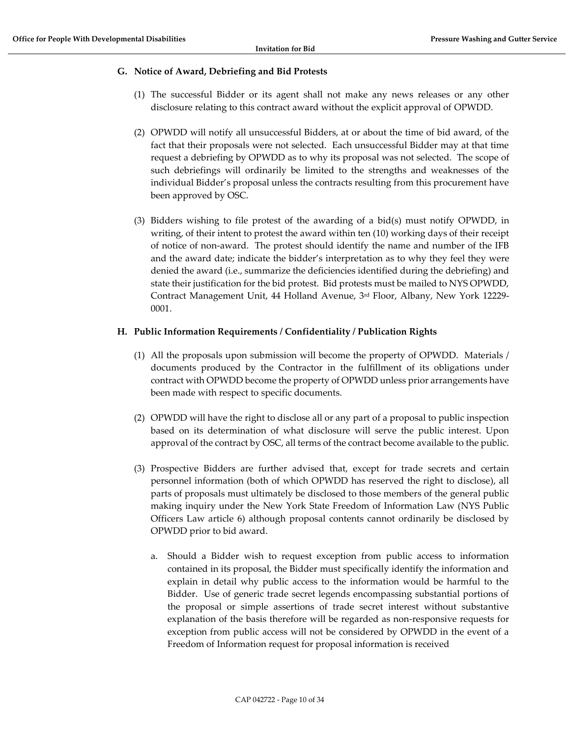#### <span id="page-9-0"></span>**G. Notice of Award, Debriefing and Bid Protests**

- (1) The successful Bidder or its agent shall not make any news releases or any other disclosure relating to this contract award without the explicit approval of OPWDD.
- (2) OPWDD will notify all unsuccessful Bidders, at or about the time of bid award, of the fact that their proposals were not selected. Each unsuccessful Bidder may at that time request a debriefing by OPWDD as to why its proposal was not selected. The scope of such debriefings will ordinarily be limited to the strengths and weaknesses of the individual Bidder's proposal unless the contracts resulting from this procurement have been approved by OSC.
- (3) Bidders wishing to file protest of the awarding of a bid(s) must notify OPWDD, in writing, of their intent to protest the award within ten (10) working days of their receipt of notice of non-award. The protest should identify the name and number of the IFB and the award date; indicate the bidder's interpretation as to why they feel they were denied the award (i.e., summarize the deficiencies identified during the debriefing) and state their justification for the bid protest. Bid protests must be mailed to NYS OPWDD, Contract Management Unit, 44 Holland Avenue, 3rd Floor, Albany, New York 12229- 0001.

#### <span id="page-9-1"></span>**H. Public Information Requirements / Confidentiality / Publication Rights**

- (1) All the proposals upon submission will become the property of OPWDD. Materials / documents produced by the Contractor in the fulfillment of its obligations under contract with OPWDD become the property of OPWDD unless prior arrangements have been made with respect to specific documents.
- (2) OPWDD will have the right to disclose all or any part of a proposal to public inspection based on its determination of what disclosure will serve the public interest. Upon approval of the contract by OSC, all terms of the contract become available to the public.
- (3) Prospective Bidders are further advised that, except for trade secrets and certain personnel information (both of which OPWDD has reserved the right to disclose), all parts of proposals must ultimately be disclosed to those members of the general public making inquiry under the New York State Freedom of Information Law (NYS Public Officers Law article 6) although proposal contents cannot ordinarily be disclosed by OPWDD prior to bid award.
	- a. Should a Bidder wish to request exception from public access to information contained in its proposal, the Bidder must specifically identify the information and explain in detail why public access to the information would be harmful to the Bidder. Use of generic trade secret legends encompassing substantial portions of the proposal or simple assertions of trade secret interest without substantive explanation of the basis therefore will be regarded as non-responsive requests for exception from public access will not be considered by OPWDD in the event of a Freedom of Information request for proposal information is received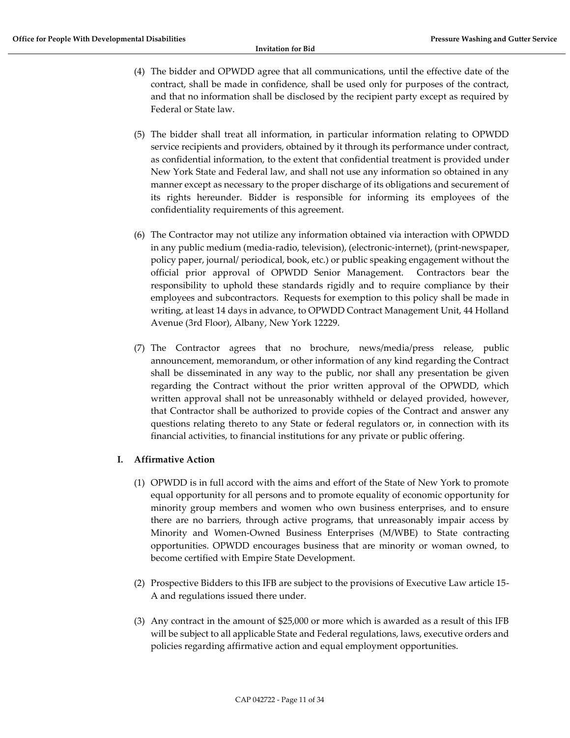- (4) The bidder and OPWDD agree that all communications, until the effective date of the contract, shall be made in confidence, shall be used only for purposes of the contract, and that no information shall be disclosed by the recipient party except as required by Federal or State law.
- (5) The bidder shall treat all information, in particular information relating to OPWDD service recipients and providers, obtained by it through its performance under contract, as confidential information, to the extent that confidential treatment is provided under New York State and Federal law, and shall not use any information so obtained in any manner except as necessary to the proper discharge of its obligations and securement of its rights hereunder. Bidder is responsible for informing its employees of the confidentiality requirements of this agreement.
- (6) The Contractor may not utilize any information obtained via interaction with OPWDD in any public medium (media-radio, television), (electronic-internet), (print-newspaper, policy paper, journal/ periodical, book, etc.) or public speaking engagement without the official prior approval of OPWDD Senior Management. Contractors bear the responsibility to uphold these standards rigidly and to require compliance by their employees and subcontractors. Requests for exemption to this policy shall be made in writing, at least 14 days in advance, to OPWDD Contract Management Unit, 44 Holland Avenue (3rd Floor), Albany, New York 12229.
- (7) The Contractor agrees that no brochure, news/media/press release, public announcement, memorandum, or other information of any kind regarding the Contract shall be disseminated in any way to the public, nor shall any presentation be given regarding the Contract without the prior written approval of the OPWDD, which written approval shall not be unreasonably withheld or delayed provided, however, that Contractor shall be authorized to provide copies of the Contract and answer any questions relating thereto to any State or federal regulators or, in connection with its financial activities, to financial institutions for any private or public offering.

### <span id="page-10-0"></span>**I. Affirmative Action**

- (1) OPWDD is in full accord with the aims and effort of the State of New York to promote equal opportunity for all persons and to promote equality of economic opportunity for minority group members and women who own business enterprises, and to ensure there are no barriers, through active programs, that unreasonably impair access by Minority and Women-Owned Business Enterprises (M/WBE) to State contracting opportunities. OPWDD encourages business that are minority or woman owned, to become certified with Empire State Development.
- (2) Prospective Bidders to this IFB are subject to the provisions of Executive Law article 15- A and regulations issued there under.
- (3) Any contract in the amount of \$25,000 or more which is awarded as a result of this IFB will be subject to all applicable State and Federal regulations, laws, executive orders and policies regarding affirmative action and equal employment opportunities.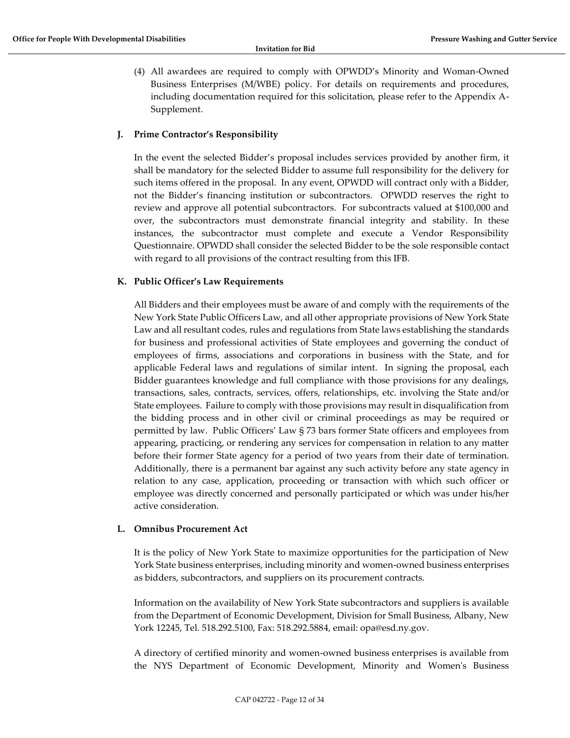(4) All awardees are required to comply with OPWDD's Minority and Woman-Owned Business Enterprises (M/WBE) policy. For details on requirements and procedures, including documentation required for this solicitation, please refer to the Appendix A-Supplement.

#### <span id="page-11-0"></span>**J. Prime Contractor's Responsibility**

In the event the selected Bidder's proposal includes services provided by another firm, it shall be mandatory for the selected Bidder to assume full responsibility for the delivery for such items offered in the proposal. In any event, OPWDD will contract only with a Bidder, not the Bidder's financing institution or subcontractors. OPWDD reserves the right to review and approve all potential subcontractors. For subcontracts valued at \$100,000 and over, the subcontractors must demonstrate financial integrity and stability. In these instances, the subcontractor must complete and execute a Vendor Responsibility Questionnaire. OPWDD shall consider the selected Bidder to be the sole responsible contact with regard to all provisions of the contract resulting from this IFB.

### <span id="page-11-1"></span>**K. Public Officer's Law Requirements**

All Bidders and their employees must be aware of and comply with the requirements of the New York State Public Officers Law, and all other appropriate provisions of New York State Law and all resultant codes, rules and regulations from State laws establishing the standards for business and professional activities of State employees and governing the conduct of employees of firms, associations and corporations in business with the State, and for applicable Federal laws and regulations of similar intent. In signing the proposal, each Bidder guarantees knowledge and full compliance with those provisions for any dealings, transactions, sales, contracts, services, offers, relationships, etc. involving the State and/or State employees. Failure to comply with those provisions may result in disqualification from the bidding process and in other civil or criminal proceedings as may be required or permitted by law. Public Officers' Law § 73 bars former State officers and employees from appearing, practicing, or rendering any services for compensation in relation to any matter before their former State agency for a period of two years from their date of termination. Additionally, there is a permanent bar against any such activity before any state agency in relation to any case, application, proceeding or transaction with which such officer or employee was directly concerned and personally participated or which was under his/her active consideration.

#### <span id="page-11-2"></span>**L. Omnibus Procurement Act**

It is the policy of New York State to maximize opportunities for the participation of New York State business enterprises, including minority and women-owned business enterprises as bidders, subcontractors, and suppliers on its procurement contracts.

Information on the availability of New York State subcontractors and suppliers is available from the Department of Economic Development, Division for Small Business, Albany, New York 12245, Tel. 518.292.5100, Fax: 518.292.5884, email: opa@esd.ny.gov.

A directory of certified minority and women-owned business enterprises is available from the NYS Department of Economic Development, Minority and Women's Business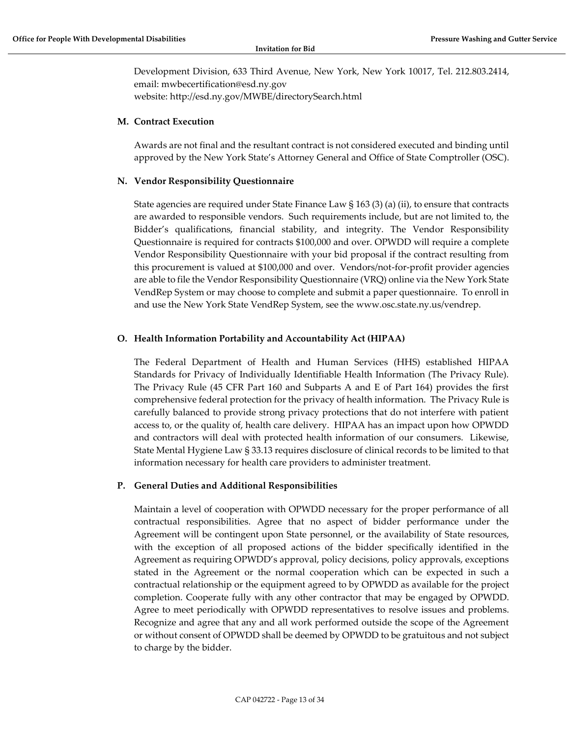Development Division, 633 Third Avenue, New York, New York 10017, Tel. 212.803.2414, email: mwbecertification@esd.ny.gov website: http://esd.ny.gov/MWBE/directorySearch.html

#### <span id="page-12-0"></span>**M. Contract Execution**

Awards are not final and the resultant contract is not considered executed and binding until approved by the New York State's Attorney General and Office of State Comptroller (OSC).

#### <span id="page-12-1"></span>**N. Vendor Responsibility Questionnaire**

State agencies are required under State Finance Law § 163 (3) (a) (ii), to ensure that contracts are awarded to responsible vendors. Such requirements include, but are not limited to, the Bidder's qualifications, financial stability, and integrity. The Vendor Responsibility Questionnaire is required for contracts \$100,000 and over. OPWDD will require a complete Vendor Responsibility Questionnaire with your bid proposal if the contract resulting from this procurement is valued at \$100,000 and over. Vendors/not-for-profit provider agencies are able to file the Vendor Responsibility Questionnaire (VRQ) online via the New York State VendRep System or may choose to complete and submit a paper questionnaire. To enroll in and use the New York State VendRep System, see the www.osc.state.ny.us/vendrep.

#### <span id="page-12-2"></span>**O. Health Information Portability and Accountability Act (HIPAA)**

The Federal Department of Health and Human Services (HHS) established HIPAA Standards for Privacy of Individually Identifiable Health Information (The Privacy Rule). The Privacy Rule (45 CFR Part 160 and Subparts A and E of Part 164) provides the first comprehensive federal protection for the privacy of health information. The Privacy Rule is carefully balanced to provide strong privacy protections that do not interfere with patient access to, or the quality of, health care delivery. HIPAA has an impact upon how OPWDD and contractors will deal with protected health information of our consumers. Likewise, State Mental Hygiene Law § 33.13 requires disclosure of clinical records to be limited to that information necessary for health care providers to administer treatment.

#### <span id="page-12-3"></span>**P. General Duties and Additional Responsibilities**

Maintain a level of cooperation with OPWDD necessary for the proper performance of all contractual responsibilities. Agree that no aspect of bidder performance under the Agreement will be contingent upon State personnel, or the availability of State resources, with the exception of all proposed actions of the bidder specifically identified in the Agreement as requiring OPWDD's approval, policy decisions, policy approvals, exceptions stated in the Agreement or the normal cooperation which can be expected in such a contractual relationship or the equipment agreed to by OPWDD as available for the project completion. Cooperate fully with any other contractor that may be engaged by OPWDD. Agree to meet periodically with OPWDD representatives to resolve issues and problems. Recognize and agree that any and all work performed outside the scope of the Agreement or without consent of OPWDD shall be deemed by OPWDD to be gratuitous and not subject to charge by the bidder.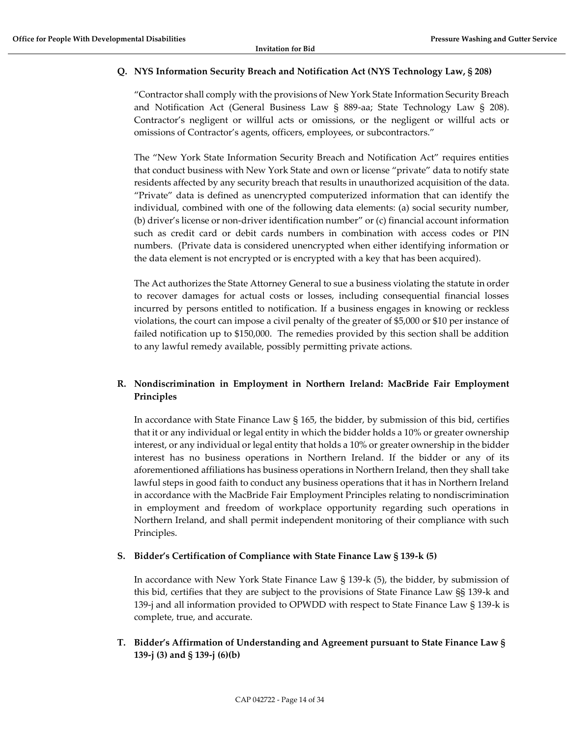### <span id="page-13-0"></span>**Q. NYS Information Security Breach and Notification Act (NYS Technology Law, § 208)**

"Contractor shall comply with the provisions of New York State Information Security Breach and Notification Act (General Business Law § 889-aa; State Technology Law § 208). Contractor's negligent or willful acts or omissions, or the negligent or willful acts or omissions of Contractor's agents, officers, employees, or subcontractors."

The "New York State Information Security Breach and Notification Act" requires entities that conduct business with New York State and own or license "private" data to notify state residents affected by any security breach that results in unauthorized acquisition of the data. "Private" data is defined as unencrypted computerized information that can identify the individual, combined with one of the following data elements: (a) social security number, (b) driver's license or non-driver identification number" or (c) financial account information such as credit card or debit cards numbers in combination with access codes or PIN numbers. (Private data is considered unencrypted when either identifying information or the data element is not encrypted or is encrypted with a key that has been acquired).

The Act authorizes the State Attorney General to sue a business violating the statute in order to recover damages for actual costs or losses, including consequential financial losses incurred by persons entitled to notification. If a business engages in knowing or reckless violations, the court can impose a civil penalty of the greater of \$5,000 or \$10 per instance of failed notification up to \$150,000. The remedies provided by this section shall be addition to any lawful remedy available, possibly permitting private actions.

### <span id="page-13-1"></span>**R. Nondiscrimination in Employment in Northern Ireland: MacBride Fair Employment Principles**

In accordance with State Finance Law § 165, the bidder, by submission of this bid, certifies that it or any individual or legal entity in which the bidder holds a 10% or greater ownership interest, or any individual or legal entity that holds a 10% or greater ownership in the bidder interest has no business operations in Northern Ireland. If the bidder or any of its aforementioned affiliations has business operations in Northern Ireland, then they shall take lawful steps in good faith to conduct any business operations that it has in Northern Ireland in accordance with the MacBride Fair Employment Principles relating to nondiscrimination in employment and freedom of workplace opportunity regarding such operations in Northern Ireland, and shall permit independent monitoring of their compliance with such Principles.

#### <span id="page-13-2"></span>**S. Bidder's Certification of Compliance with State Finance Law § 139-k (5)**

In accordance with New York State Finance Law § 139-k (5), the bidder, by submission of this bid, certifies that they are subject to the provisions of State Finance Law §§ 139-k and 139-j and all information provided to OPWDD with respect to State Finance Law § 139-k is complete, true, and accurate.

### <span id="page-13-3"></span>**T. Bidder's Affirmation of Understanding and Agreement pursuant to State Finance Law § 139-j (3) and § 139-j (6)(b)**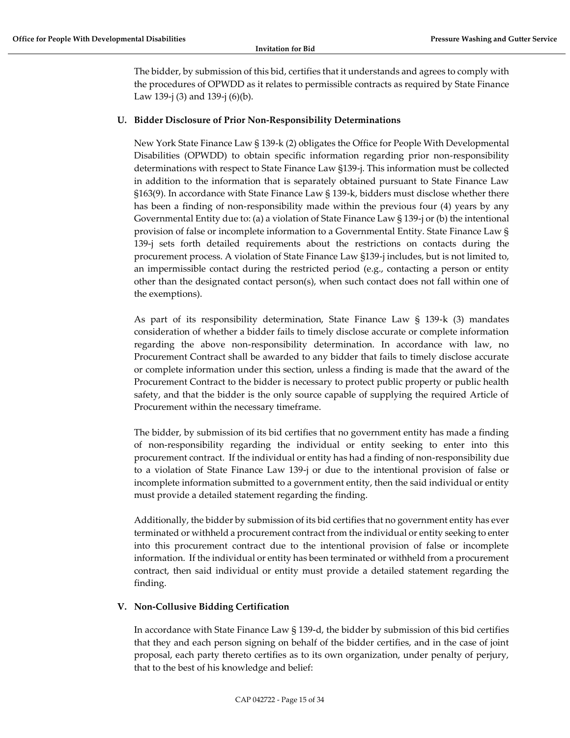The bidder, by submission of this bid, certifies that it understands and agrees to comply with the procedures of OPWDD as it relates to permissible contracts as required by State Finance Law 139-j (3) and 139-j (6)(b).

### <span id="page-14-0"></span>**U. Bidder Disclosure of Prior Non-Responsibility Determinations**

New York State Finance Law § 139-k (2) obligates the Office for People With Developmental Disabilities (OPWDD) to obtain specific information regarding prior non-responsibility determinations with respect to State Finance Law §139-j. This information must be collected in addition to the information that is separately obtained pursuant to State Finance Law §163(9). In accordance with State Finance Law § 139-k, bidders must disclose whether there has been a finding of non-responsibility made within the previous four (4) years by any Governmental Entity due to: (a) a violation of State Finance Law § 139-j or (b) the intentional provision of false or incomplete information to a Governmental Entity. State Finance Law § 139-j sets forth detailed requirements about the restrictions on contacts during the procurement process. A violation of State Finance Law §139-j includes, but is not limited to, an impermissible contact during the restricted period (e.g., contacting a person or entity other than the designated contact person(s), when such contact does not fall within one of the exemptions).

As part of its responsibility determination, State Finance Law § 139-k (3) mandates consideration of whether a bidder fails to timely disclose accurate or complete information regarding the above non-responsibility determination. In accordance with law, no Procurement Contract shall be awarded to any bidder that fails to timely disclose accurate or complete information under this section, unless a finding is made that the award of the Procurement Contract to the bidder is necessary to protect public property or public health safety, and that the bidder is the only source capable of supplying the required Article of Procurement within the necessary timeframe.

The bidder, by submission of its bid certifies that no government entity has made a finding of non-responsibility regarding the individual or entity seeking to enter into this procurement contract. If the individual or entity has had a finding of non-responsibility due to a violation of State Finance Law 139-j or due to the intentional provision of false or incomplete information submitted to a government entity, then the said individual or entity must provide a detailed statement regarding the finding.

Additionally, the bidder by submission of its bid certifies that no government entity has ever terminated or withheld a procurement contract from the individual or entity seeking to enter into this procurement contract due to the intentional provision of false or incomplete information. If the individual or entity has been terminated or withheld from a procurement contract, then said individual or entity must provide a detailed statement regarding the finding.

#### <span id="page-14-1"></span>**V. Non‐Collusive Bidding Certification**

In accordance with State Finance Law § 139‐d, the bidder by submission of this bid certifies that they and each person signing on behalf of the bidder certifies, and in the case of joint proposal, each party thereto certifies as to its own organization, under penalty of perjury, that to the best of his knowledge and belief: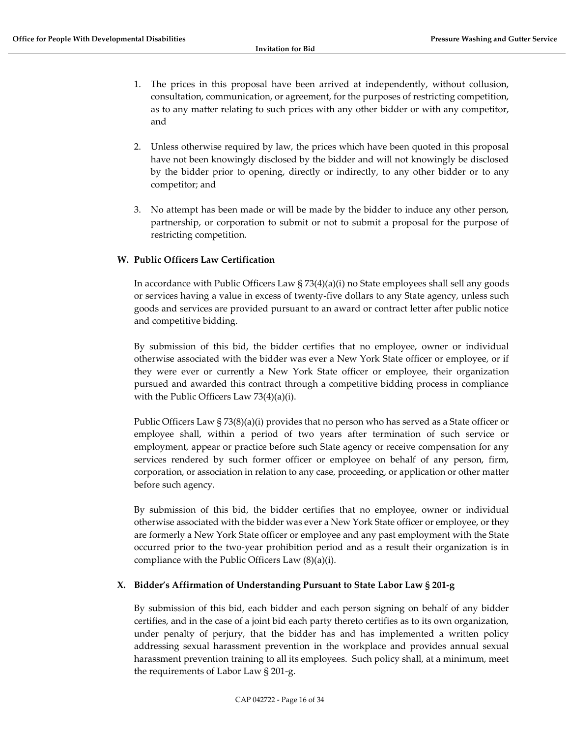- 1. The prices in this proposal have been arrived at independently, without collusion, consultation, communication, or agreement, for the purposes of restricting competition, as to any matter relating to such prices with any other bidder or with any competitor, and
- 2. Unless otherwise required by law, the prices which have been quoted in this proposal have not been knowingly disclosed by the bidder and will not knowingly be disclosed by the bidder prior to opening, directly or indirectly, to any other bidder or to any competitor; and
- 3. No attempt has been made or will be made by the bidder to induce any other person, partnership, or corporation to submit or not to submit a proposal for the purpose of restricting competition.

### <span id="page-15-0"></span>**W. Public Officers Law Certification**

In accordance with Public Officers Law § 73(4)(a)(i) no State employees shall sell any goods or services having a value in excess of twenty-five dollars to any State agency, unless such goods and services are provided pursuant to an award or contract letter after public notice and competitive bidding.

By submission of this bid, the bidder certifies that no employee, owner or individual otherwise associated with the bidder was ever a New York State officer or employee, or if they were ever or currently a New York State officer or employee, their organization pursued and awarded this contract through a competitive bidding process in compliance with the Public Officers Law 73(4)(a)(i).

Public Officers Law § 73(8)(a)(i) provides that no person who has served as a State officer or employee shall, within a period of two years after termination of such service or employment, appear or practice before such State agency or receive compensation for any services rendered by such former officer or employee on behalf of any person, firm, corporation, or association in relation to any case, proceeding, or application or other matter before such agency.

By submission of this bid, the bidder certifies that no employee, owner or individual otherwise associated with the bidder was ever a New York State officer or employee, or they are formerly a New York State officer or employee and any past employment with the State occurred prior to the two-year prohibition period and as a result their organization is in compliance with the Public Officers Law (8)(a)(i).

#### <span id="page-15-1"></span>**X. Bidder's Affirmation of Understanding Pursuant to State Labor Law § 201-g**

By submission of this bid, each bidder and each person signing on behalf of any bidder certifies, and in the case of a joint bid each party thereto certifies as to its own organization, under penalty of perjury, that the bidder has and has implemented a written policy addressing sexual harassment prevention in the workplace and provides annual sexual harassment prevention training to all its employees. Such policy shall, at a minimum, meet the requirements of Labor Law § 201-g.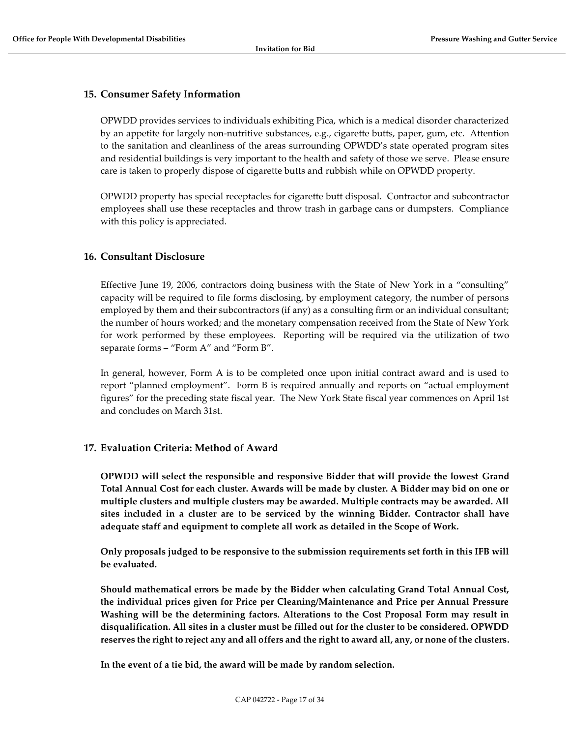### <span id="page-16-0"></span>**15. Consumer Safety Information**

OPWDD provides services to individuals exhibiting Pica, which is a medical disorder characterized by an appetite for largely non-nutritive substances, e.g., cigarette butts, paper, gum, etc. Attention to the sanitation and cleanliness of the areas surrounding OPWDD's state operated program sites and residential buildings is very important to the health and safety of those we serve. Please ensure care is taken to properly dispose of cigarette butts and rubbish while on OPWDD property.

OPWDD property has special receptacles for cigarette butt disposal. Contractor and subcontractor employees shall use these receptacles and throw trash in garbage cans or dumpsters. Compliance with this policy is appreciated.

### <span id="page-16-1"></span>**16. Consultant Disclosure**

Effective June 19, 2006, contractors doing business with the State of New York in a "consulting" capacity will be required to file forms disclosing, by employment category, the number of persons employed by them and their subcontractors (if any) as a consulting firm or an individual consultant; the number of hours worked; and the monetary compensation received from the State of New York for work performed by these employees. Reporting will be required via the utilization of two separate forms – "Form A" and "Form B".

In general, however, Form A is to be completed once upon initial contract award and is used to report "planned employment". Form B is required annually and reports on "actual employment figures" for the preceding state fiscal year. The New York State fiscal year commences on April 1st and concludes on March 31st.

### <span id="page-16-2"></span>**17. Evaluation Criteria: Method of Award**

**OPWDD will select the responsible and responsive Bidder that will provide the lowest Grand Total Annual Cost for each cluster. Awards will be made by cluster. A Bidder may bid on one or multiple clusters and multiple clusters may be awarded. Multiple contracts may be awarded. All sites included in a cluster are to be serviced by the winning Bidder. Contractor shall have adequate staff and equipment to complete all work as detailed in the Scope of Work.**

**Only proposals judged to be responsive to the submission requirements set forth in this IFB will be evaluated.**

**Should mathematical errors be made by the Bidder when calculating Grand Total Annual Cost, the individual prices given for Price per Cleaning/Maintenance and Price per Annual Pressure Washing will be the determining factors. Alterations to the Cost Proposal Form may result in disqualification. All sites in a cluster must be filled out for the cluster to be considered. OPWDD reserves the right to reject any and all offers and the right to award all, any, or none of the clusters.**

**In the event of a tie bid, the award will be made by random selection.**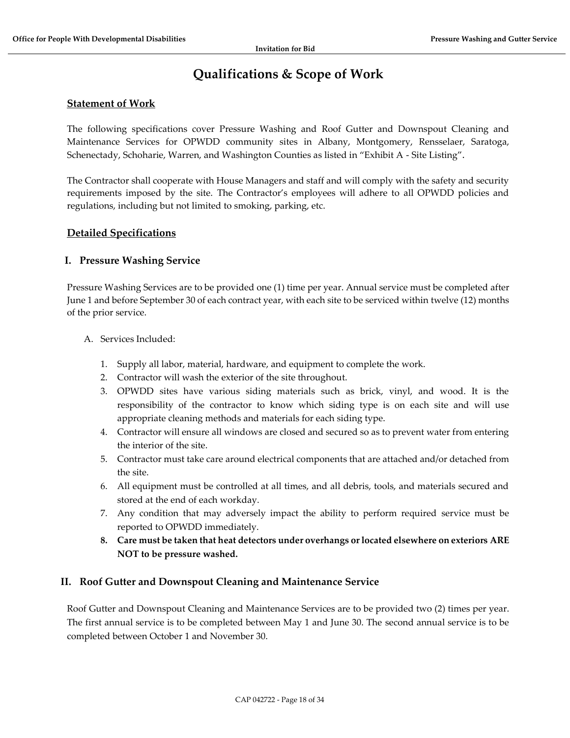# **Qualifications & Scope of Work**

### <span id="page-17-0"></span>**Statement of Work**

The following specifications cover Pressure Washing and Roof Gutter and Downspout Cleaning and Maintenance Services for OPWDD community sites in Albany, Montgomery, Rensselaer, Saratoga, Schenectady, Schoharie, Warren, and Washington Counties as listed in "Exhibit A - Site Listing".

The Contractor shall cooperate with House Managers and staff and will comply with the safety and security requirements imposed by the site. The Contractor's employees will adhere to all OPWDD policies and regulations, including but not limited to smoking, parking, etc.

### **Detailed Specifications**

### **I. Pressure Washing Service**

Pressure Washing Services are to be provided one (1) time per year. Annual service must be completed after June 1 and before September 30 of each contract year, with each site to be serviced within twelve (12) months of the prior service.

#### A. Services Included:

- 1. Supply all labor, material, hardware, and equipment to complete the work.
- 2. Contractor will wash the exterior of the site throughout.
- 3. OPWDD sites have various siding materials such as brick, vinyl, and wood. It is the responsibility of the contractor to know which siding type is on each site and will use appropriate cleaning methods and materials for each siding type.
- 4. Contractor will ensure all windows are closed and secured so as to prevent water from entering the interior of the site.
- 5. Contractor must take care around electrical components that are attached and/or detached from the site.
- 6. All equipment must be controlled at all times, and all debris, tools, and materials secured and stored at the end of each workday.
- 7. Any condition that may adversely impact the ability to perform required service must be reported to OPWDD immediately.
- **8. Care must be taken that heat detectors under overhangs or located elsewhere on exteriors ARE NOT to be pressure washed.**

#### **II. Roof Gutter and Downspout Cleaning and Maintenance Service**

Roof Gutter and Downspout Cleaning and Maintenance Services are to be provided two (2) times per year. The first annual service is to be completed between May 1 and June 30. The second annual service is to be completed between October 1 and November 30.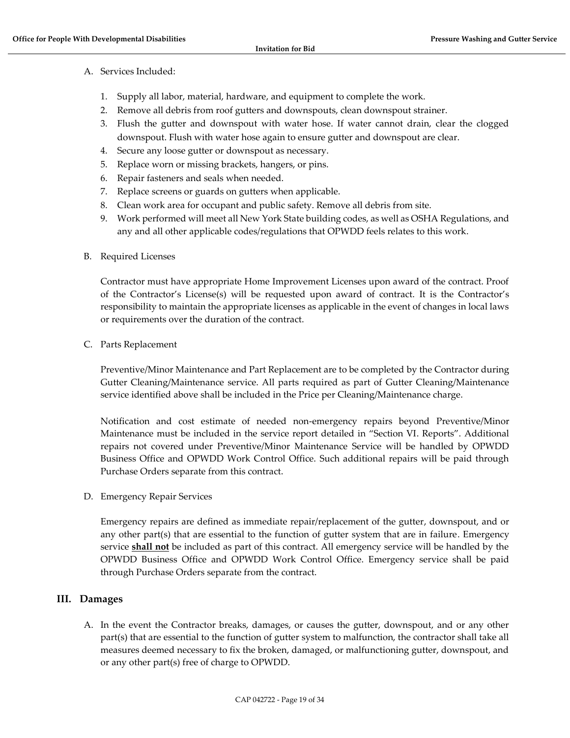- A. Services Included:
	- 1. Supply all labor, material, hardware, and equipment to complete the work.
	- 2. Remove all debris from roof gutters and downspouts, clean downspout strainer.
	- 3. Flush the gutter and downspout with water hose. If water cannot drain, clear the clogged downspout. Flush with water hose again to ensure gutter and downspout are clear.
	- 4. Secure any loose gutter or downspout as necessary.
	- 5. Replace worn or missing brackets, hangers, or pins.
	- 6. Repair fasteners and seals when needed.
	- 7. Replace screens or guards on gutters when applicable.
	- 8. Clean work area for occupant and public safety. Remove all debris from site.
	- 9. Work performed will meet all New York State building codes, as well as OSHA Regulations, and any and all other applicable codes/regulations that OPWDD feels relates to this work.
- B. Required Licenses

Contractor must have appropriate Home Improvement Licenses upon award of the contract. Proof of the Contractor's License(s) will be requested upon award of contract. It is the Contractor's responsibility to maintain the appropriate licenses as applicable in the event of changes in local laws or requirements over the duration of the contract.

#### C. Parts Replacement

Preventive/Minor Maintenance and Part Replacement are to be completed by the Contractor during Gutter Cleaning/Maintenance service. All parts required as part of Gutter Cleaning/Maintenance service identified above shall be included in the Price per Cleaning/Maintenance charge.

Notification and cost estimate of needed non-emergency repairs beyond Preventive/Minor Maintenance must be included in the service report detailed in "Section VI. Reports". Additional repairs not covered under Preventive/Minor Maintenance Service will be handled by OPWDD Business Office and OPWDD Work Control Office. Such additional repairs will be paid through Purchase Orders separate from this contract.

D. Emergency Repair Services

Emergency repairs are defined as immediate repair/replacement of the gutter, downspout, and or any other part(s) that are essential to the function of gutter system that are in failure. Emergency service **shall not** be included as part of this contract. All emergency service will be handled by the OPWDD Business Office and OPWDD Work Control Office. Emergency service shall be paid through Purchase Orders separate from the contract.

### **III. Damages**

A. In the event the Contractor breaks, damages, or causes the gutter, downspout, and or any other part(s) that are essential to the function of gutter system to malfunction, the contractor shall take all measures deemed necessary to fix the broken, damaged, or malfunctioning gutter, downspout, and or any other part(s) free of charge to OPWDD.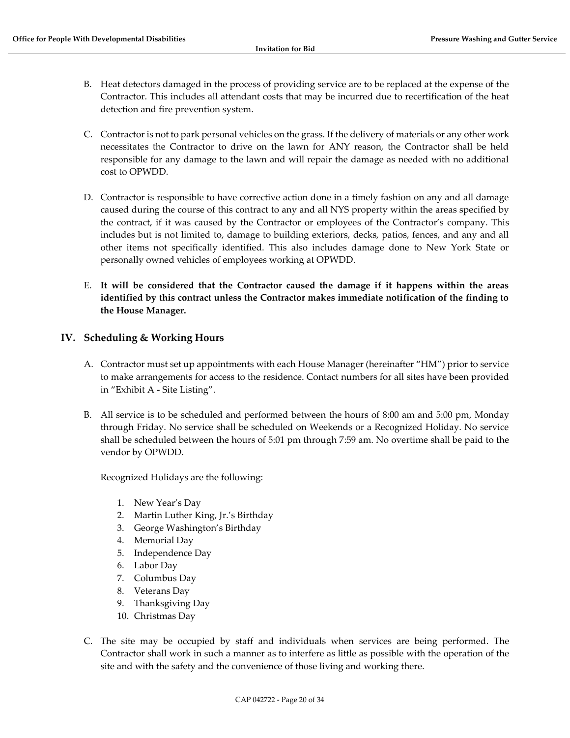- B. Heat detectors damaged in the process of providing service are to be replaced at the expense of the Contractor. This includes all attendant costs that may be incurred due to recertification of the heat detection and fire prevention system.
- C. Contractor is not to park personal vehicles on the grass. If the delivery of materials or any other work necessitates the Contractor to drive on the lawn for ANY reason, the Contractor shall be held responsible for any damage to the lawn and will repair the damage as needed with no additional cost to OPWDD.
- D. Contractor is responsible to have corrective action done in a timely fashion on any and all damage caused during the course of this contract to any and all NYS property within the areas specified by the contract, if it was caused by the Contractor or employees of the Contractor's company. This includes but is not limited to, damage to building exteriors, decks, patios, fences, and any and all other items not specifically identified. This also includes damage done to New York State or personally owned vehicles of employees working at OPWDD.
- E. **It will be considered that the Contractor caused the damage if it happens within the areas identified by this contract unless the Contractor makes immediate notification of the finding to the House Manager.**

### **IV. Scheduling & Working Hours**

- A. Contractor must set up appointments with each House Manager (hereinafter "HM") prior to service to make arrangements for access to the residence. Contact numbers for all sites have been provided in "Exhibit A - Site Listing".
- B. All service is to be scheduled and performed between the hours of 8:00 am and 5:00 pm, Monday through Friday. No service shall be scheduled on Weekends or a Recognized Holiday. No service shall be scheduled between the hours of 5:01 pm through 7:59 am. No overtime shall be paid to the vendor by OPWDD.

Recognized Holidays are the following:

- 1. New Year's Day
- 2. Martin Luther King, Jr.'s Birthday
- 3. George Washington's Birthday
- 4. Memorial Day
- 5. Independence Day
- 6. Labor Day
- 7. Columbus Day
- 8. Veterans Day
- 9. Thanksgiving Day
- 10. Christmas Day
- C. The site may be occupied by staff and individuals when services are being performed. The Contractor shall work in such a manner as to interfere as little as possible with the operation of the site and with the safety and the convenience of those living and working there.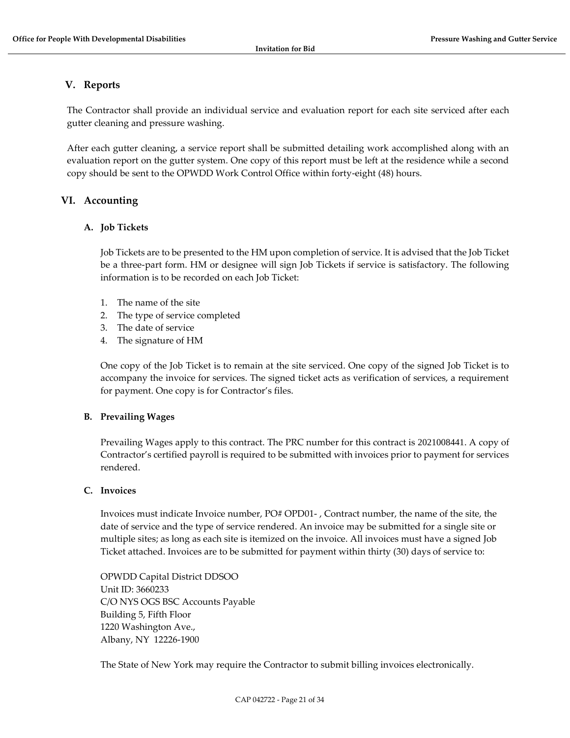### **V. Reports**

The Contractor shall provide an individual service and evaluation report for each site serviced after each gutter cleaning and pressure washing.

After each gutter cleaning, a service report shall be submitted detailing work accomplished along with an evaluation report on the gutter system. One copy of this report must be left at the residence while a second copy should be sent to the OPWDD Work Control Office within forty-eight (48) hours.

### **VI. Accounting**

### **A. Job Tickets**

Job Tickets are to be presented to the HM upon completion of service. It is advised that the Job Ticket be a three-part form. HM or designee will sign Job Tickets if service is satisfactory. The following information is to be recorded on each Job Ticket:

- 1. The name of the site
- 2. The type of service completed
- 3. The date of service
- 4. The signature of HM

One copy of the Job Ticket is to remain at the site serviced. One copy of the signed Job Ticket is to accompany the invoice for services. The signed ticket acts as verification of services, a requirement for payment. One copy is for Contractor's files.

### **B. Prevailing Wages**

Prevailing Wages apply to this contract. The PRC number for this contract is 2021008441. A copy of Contractor's certified payroll is required to be submitted with invoices prior to payment for services rendered.

#### **C. Invoices**

Invoices must indicate Invoice number, PO# OPD01- , Contract number, the name of the site, the date of service and the type of service rendered. An invoice may be submitted for a single site or multiple sites; as long as each site is itemized on the invoice. All invoices must have a signed Job Ticket attached. Invoices are to be submitted for payment within thirty (30) days of service to:

OPWDD Capital District DDSOO Unit ID: 3660233 C/O NYS OGS BSC Accounts Payable Building 5, Fifth Floor 1220 Washington Ave., Albany, NY 12226-1900

The State of New York may require the Contractor to submit billing invoices electronically.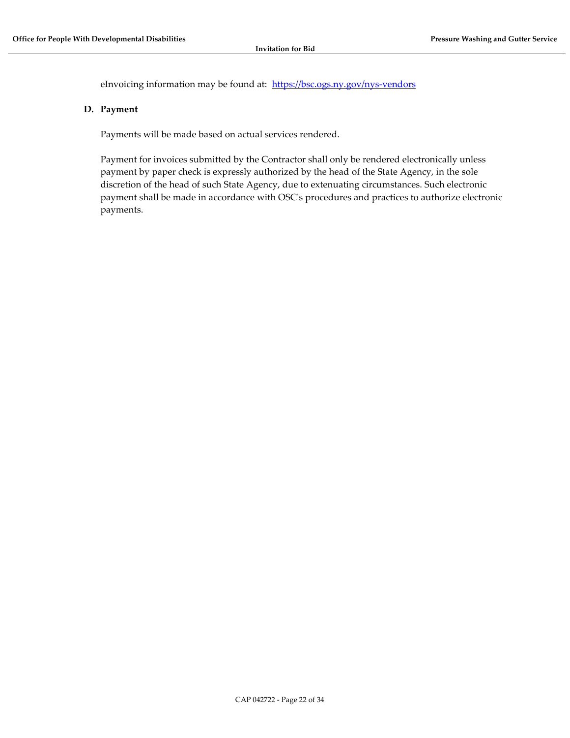eInvoicing information may be found at: <https://bsc.ogs.ny.gov/nys-vendors>

#### **D. Payment**

Payments will be made based on actual services rendered.

Payment for invoices submitted by the Contractor shall only be rendered electronically unless payment by paper check is expressly authorized by the head of the State Agency, in the sole discretion of the head of such State Agency, due to extenuating circumstances. Such electronic payment shall be made in accordance with OSC's procedures and practices to authorize electronic payments.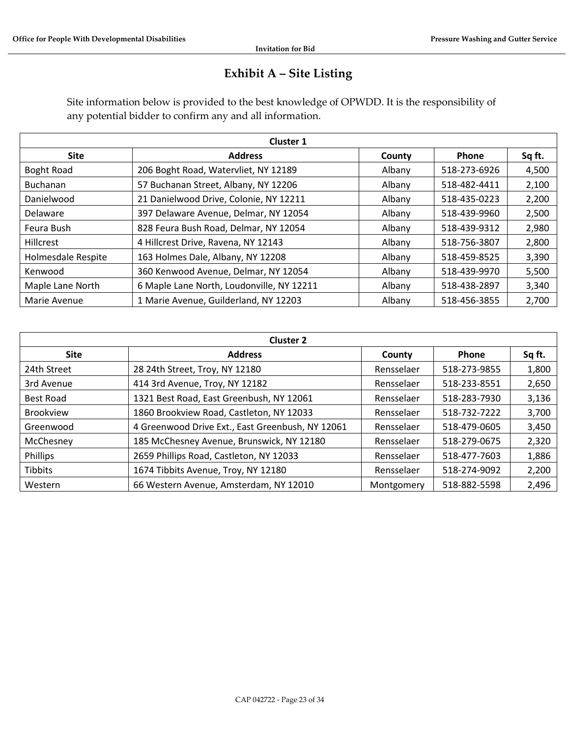## **Exhibit A – Site Listing**

Site information below is provided to the best knowledge of OPWDD. It is the responsibility of any potential bidder to confirm any and all information.

| <b>Cluster 1</b>   |                                                |        |              |        |  |  |  |  |
|--------------------|------------------------------------------------|--------|--------------|--------|--|--|--|--|
| <b>Site</b>        | <b>Address</b>                                 | County | <b>Phone</b> | Sq ft. |  |  |  |  |
| Boght Road         | 206 Boght Road, Watervliet, NY 12189           | Albany | 518-273-6926 | 4,500  |  |  |  |  |
| Buchanan           | 57 Buchanan Street, Albany, NY 12206<br>Albany |        | 518-482-4411 | 2,100  |  |  |  |  |
| Danielwood         | 21 Danielwood Drive, Colonie, NY 12211         | Albany | 518-435-0223 | 2,200  |  |  |  |  |
| Delaware           | 397 Delaware Avenue, Delmar, NY 12054          | Albany | 518-439-9960 | 2,500  |  |  |  |  |
| Feura Bush         | 828 Feura Bush Road, Delmar, NY 12054          | Albany | 518-439-9312 | 2,980  |  |  |  |  |
| Hillcrest          | 4 Hillcrest Drive, Ravena, NY 12143            | Albany | 518-756-3807 | 2,800  |  |  |  |  |
| Holmesdale Respite | 163 Holmes Dale, Albany, NY 12208              | Albany | 518-459-8525 | 3,390  |  |  |  |  |
| Kenwood            | 360 Kenwood Avenue, Delmar, NY 12054           | Albany | 518-439-9970 | 5,500  |  |  |  |  |
| Maple Lane North   | 6 Maple Lane North, Loudonville, NY 12211      | Albany | 518-438-2897 | 3,340  |  |  |  |  |
| Marie Avenue       | 1 Marie Avenue, Guilderland, NY 12203          | Albany | 518-456-3855 | 2,700  |  |  |  |  |

| <b>Cluster 2</b> |                                                                         |            |              |        |  |  |  |
|------------------|-------------------------------------------------------------------------|------------|--------------|--------|--|--|--|
| <b>Site</b>      | <b>Address</b>                                                          | County     | <b>Phone</b> | Sq ft. |  |  |  |
| 24th Street      | 28 24th Street, Troy, NY 12180                                          | Rensselaer | 518-273-9855 | 1,800  |  |  |  |
| 3rd Avenue       | 414 3rd Avenue, Troy, NY 12182<br>518-233-8551<br>Rensselaer            |            |              |        |  |  |  |
| <b>Best Road</b> | 1321 Best Road, East Greenbush, NY 12061                                | Rensselaer | 518-283-7930 | 3,136  |  |  |  |
| <b>Brookview</b> | 1860 Brookview Road, Castleton, NY 12033<br>Rensselaer                  |            | 518-732-7222 | 3,700  |  |  |  |
| Greenwood        | 4 Greenwood Drive Ext., East Greenbush, NY 12061                        | Rensselaer | 518-479-0605 | 3,450  |  |  |  |
| McChesney        | 185 McChesney Avenue, Brunswick, NY 12180<br>518-279-0675<br>Rensselaer |            |              |        |  |  |  |
| Phillips         | 2659 Phillips Road, Castleton, NY 12033                                 | Rensselaer | 518-477-7603 | 1,886  |  |  |  |
| Tibbits          | 1674 Tibbits Avenue, Troy, NY 12180                                     | Rensselaer | 518-274-9092 | 2,200  |  |  |  |
| Western          | 66 Western Avenue, Amsterdam, NY 12010                                  | Montgomery | 518-882-5598 | 2,496  |  |  |  |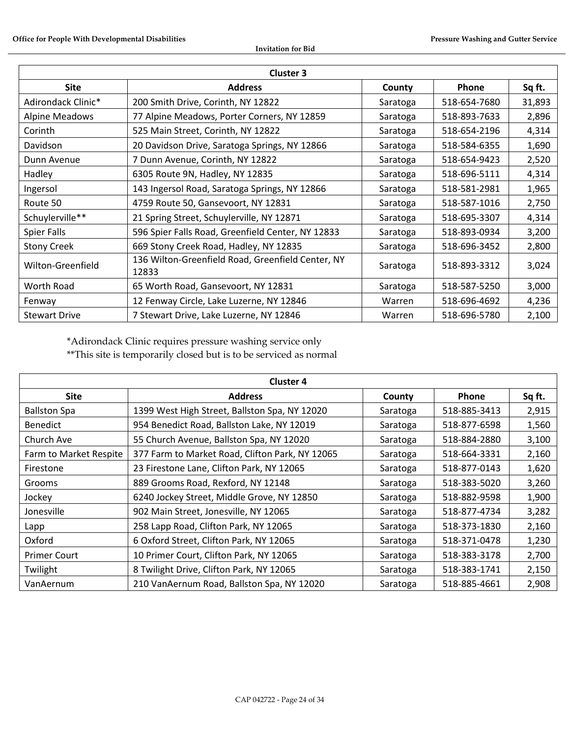| <b>Cluster 3</b>                                                                          |                                                                |                          |              |        |  |  |
|-------------------------------------------------------------------------------------------|----------------------------------------------------------------|--------------------------|--------------|--------|--|--|
| <b>Site</b>                                                                               | <b>Address</b>                                                 | County                   | <b>Phone</b> | Sq ft. |  |  |
| Adirondack Clinic*                                                                        | 200 Smith Drive, Corinth, NY 12822                             | Saratoga                 | 518-654-7680 | 31,893 |  |  |
| Alpine Meadows<br>77 Alpine Meadows, Porter Corners, NY 12859<br>518-893-7633<br>Saratoga |                                                                |                          |              | 2,896  |  |  |
| Corinth                                                                                   | 518-654-2196<br>525 Main Street, Corinth, NY 12822<br>Saratoga |                          |              |        |  |  |
| Davidson                                                                                  | 20 Davidson Drive, Saratoga Springs, NY 12866                  | Saratoga                 | 518-584-6355 | 1,690  |  |  |
| Dunn Avenue                                                                               | 7 Dunn Avenue, Corinth, NY 12822                               | 518-654-9423<br>Saratoga |              |        |  |  |
| Hadley<br>6305 Route 9N, Hadley, NY 12835                                                 |                                                                | Saratoga                 | 518-696-5111 | 4,314  |  |  |
| Ingersol                                                                                  | 143 Ingersol Road, Saratoga Springs, NY 12866                  | 518-581-2981<br>Saratoga |              | 1,965  |  |  |
| Route 50                                                                                  | 4759 Route 50, Gansevoort, NY 12831<br>Saratoga                |                          | 518-587-1016 | 2,750  |  |  |
| Schuylerville**                                                                           | 21 Spring Street, Schuylerville, NY 12871                      | Saratoga                 | 518-695-3307 | 4,314  |  |  |
| Spier Falls                                                                               | 596 Spier Falls Road, Greenfield Center, NY 12833              | Saratoga                 | 518-893-0934 | 3,200  |  |  |
| <b>Stony Creek</b>                                                                        | 669 Stony Creek Road, Hadley, NY 12835                         | Saratoga                 | 518-696-3452 | 2,800  |  |  |
| Wilton-Greenfield                                                                         | 136 Wilton-Greenfield Road, Greenfield Center, NY<br>12833     | Saratoga                 | 518-893-3312 | 3,024  |  |  |
| Worth Road                                                                                | 65 Worth Road, Gansevoort, NY 12831                            | Saratoga                 | 518-587-5250 | 3,000  |  |  |
| Fenway                                                                                    | 12 Fenway Circle, Lake Luzerne, NY 12846                       | Warren                   | 518-696-4692 | 4,236  |  |  |
| <b>Stewart Drive</b>                                                                      | 7 Stewart Drive, Lake Luzerne, NY 12846                        | Warren                   | 518-696-5780 | 2,100  |  |  |

\*Adirondack Clinic requires pressure washing service only

\*\*This site is temporarily closed but is to be serviced as normal

| <b>Cluster 4</b>                                                                                      |                                                                      |          |              |        |  |  |  |
|-------------------------------------------------------------------------------------------------------|----------------------------------------------------------------------|----------|--------------|--------|--|--|--|
| <b>Site</b>                                                                                           | <b>Address</b>                                                       | County   | <b>Phone</b> | Sq ft. |  |  |  |
| <b>Ballston Spa</b>                                                                                   | 1399 West High Street, Ballston Spa, NY 12020                        | Saratoga | 518-885-3413 | 2,915  |  |  |  |
| <b>Benedict</b>                                                                                       | 954 Benedict Road, Ballston Lake, NY 12019                           | Saratoga | 518-877-6598 | 1,560  |  |  |  |
| Church Ave                                                                                            | 55 Church Avenue, Ballston Spa, NY 12020<br>518-884-2880<br>Saratoga |          |              |        |  |  |  |
| 377 Farm to Market Road, Clifton Park, NY 12065<br>Farm to Market Respite<br>518-664-3331<br>Saratoga |                                                                      |          |              | 2,160  |  |  |  |
| Firestone                                                                                             | 23 Firestone Lane, Clifton Park, NY 12065                            | Saratoga | 518-877-0143 | 1,620  |  |  |  |
| Grooms                                                                                                | 889 Grooms Road, Rexford, NY 12148                                   | Saratoga | 518-383-5020 | 3,260  |  |  |  |
| Jockey                                                                                                | 6240 Jockey Street, Middle Grove, NY 12850<br>Saratoga               |          | 518-882-9598 | 1,900  |  |  |  |
| Jonesville                                                                                            | 902 Main Street, Jonesville, NY 12065<br>Saratoga                    |          | 518-877-4734 | 3,282  |  |  |  |
| Lapp                                                                                                  | 258 Lapp Road, Clifton Park, NY 12065                                | Saratoga | 518-373-1830 | 2,160  |  |  |  |
| Oxford                                                                                                | 6 Oxford Street, Clifton Park, NY 12065                              | Saratoga | 518-371-0478 | 1,230  |  |  |  |
| <b>Primer Court</b>                                                                                   | 10 Primer Court, Clifton Park, NY 12065                              | Saratoga | 518-383-3178 | 2,700  |  |  |  |
| Twilight                                                                                              | 8 Twilight Drive, Clifton Park, NY 12065                             | Saratoga | 518-383-1741 | 2,150  |  |  |  |
| VanAernum                                                                                             | 210 VanAernum Road, Ballston Spa, NY 12020                           | Saratoga | 518-885-4661 | 2,908  |  |  |  |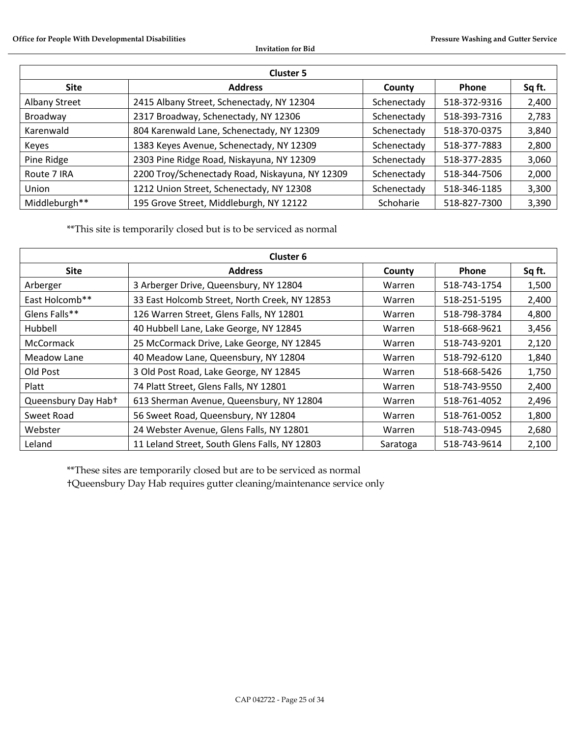| <b>Cluster 5</b>     |                                                 |             |              |        |  |  |  |
|----------------------|-------------------------------------------------|-------------|--------------|--------|--|--|--|
| <b>Site</b>          | <b>Address</b>                                  | County      | <b>Phone</b> | Sq ft. |  |  |  |
| <b>Albany Street</b> | 2415 Albany Street, Schenectady, NY 12304       | Schenectady | 518-372-9316 | 2,400  |  |  |  |
| Broadway             | 2317 Broadway, Schenectady, NY 12306            | Schenectady | 518-393-7316 | 2,783  |  |  |  |
| Karenwald            | 804 Karenwald Lane, Schenectady, NY 12309       | Schenectady | 518-370-0375 | 3,840  |  |  |  |
| Keyes                | 1383 Keyes Avenue, Schenectady, NY 12309        | Schenectady | 518-377-7883 | 2,800  |  |  |  |
| Pine Ridge           | 2303 Pine Ridge Road, Niskayuna, NY 12309       | Schenectady | 518-377-2835 | 3,060  |  |  |  |
| Route 7 IRA          | 2200 Troy/Schenectady Road, Niskayuna, NY 12309 | Schenectady | 518-344-7506 | 2,000  |  |  |  |
| Union                | 1212 Union Street, Schenectady, NY 12308        | Schenectady | 518-346-1185 | 3,300  |  |  |  |
| Middleburgh**        | 195 Grove Street, Middleburgh, NY 12122         | Schoharie   | 518-827-7300 | 3,390  |  |  |  |

\*\*This site is temporarily closed but is to be serviced as normal

| <b>Cluster 6</b>                                                                    |                                               |              |              |        |  |  |  |
|-------------------------------------------------------------------------------------|-----------------------------------------------|--------------|--------------|--------|--|--|--|
| <b>Site</b>                                                                         | <b>Address</b>                                | County       | <b>Phone</b> | Sq ft. |  |  |  |
| Arberger                                                                            | Warren                                        | 518-743-1754 | 1,500        |        |  |  |  |
| East Holcomb**                                                                      | 518-251-5195                                  | 2,400        |              |        |  |  |  |
| Glens Falls**<br>126 Warren Street, Glens Falls, NY 12801<br>518-798-3784<br>Warren |                                               |              |              |        |  |  |  |
| Hubbell<br>40 Hubbell Lane, Lake George, NY 12845<br>Warren                         |                                               |              | 518-668-9621 | 3,456  |  |  |  |
| McCormack                                                                           | 25 McCormack Drive, Lake George, NY 12845     | Warren       | 518-743-9201 | 2,120  |  |  |  |
| Meadow Lane                                                                         | 40 Meadow Lane, Queensbury, NY 12804          | Warren       | 518-792-6120 | 1,840  |  |  |  |
| Old Post<br>3 Old Post Road, Lake George, NY 12845                                  |                                               | Warren       | 518-668-5426 | 1,750  |  |  |  |
| Platt                                                                               | 74 Platt Street, Glens Falls, NY 12801        | Warren       | 518-743-9550 | 2,400  |  |  |  |
| Queensbury Day Hab+                                                                 | 613 Sherman Avenue, Queensbury, NY 12804      | Warren       | 518-761-4052 | 2,496  |  |  |  |
| Sweet Road                                                                          | 56 Sweet Road, Queensbury, NY 12804           | Warren       | 518-761-0052 | 1,800  |  |  |  |
| 24 Webster Avenue, Glens Falls, NY 12801<br>Webster                                 |                                               | Warren       | 518-743-0945 | 2,680  |  |  |  |
| Leland                                                                              | 11 Leland Street, South Glens Falls, NY 12803 | Saratoga     | 518-743-9614 | 2,100  |  |  |  |

\*\*These sites are temporarily closed but are to be serviced as normal †Queensbury Day Hab requires gutter cleaning/maintenance service only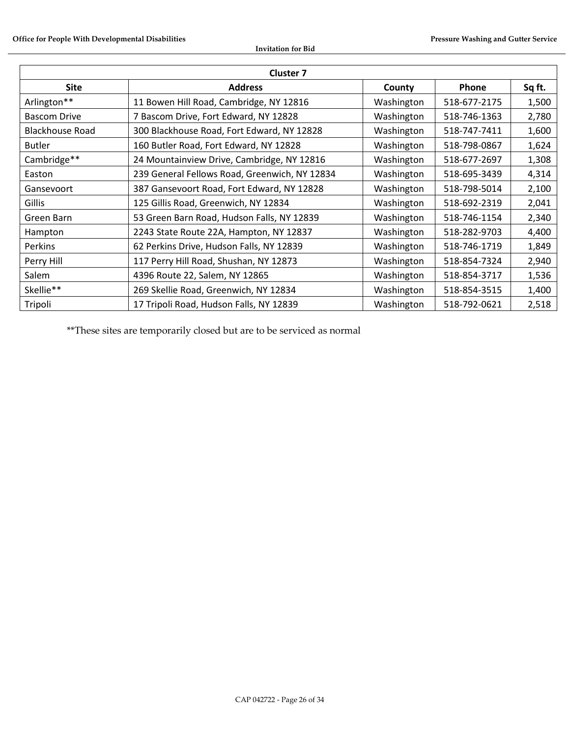| <b>Cluster 7</b>                                                                      |                                                                          |            |              |       |  |  |  |
|---------------------------------------------------------------------------------------|--------------------------------------------------------------------------|------------|--------------|-------|--|--|--|
| <b>Site</b><br><b>Address</b><br><b>Phone</b><br>County                               |                                                                          |            |              |       |  |  |  |
| Arlington**                                                                           | 11 Bowen Hill Road, Cambridge, NY 12816                                  | Washington | 518-677-2175 | 1,500 |  |  |  |
| <b>Bascom Drive</b>                                                                   | 7 Bascom Drive, Fort Edward, NY 12828                                    | Washington | 518-746-1363 | 2,780 |  |  |  |
| <b>Blackhouse Road</b>                                                                | 300 Blackhouse Road, Fort Edward, NY 12828<br>518-747-7411<br>Washington |            |              |       |  |  |  |
| 160 Butler Road, Fort Edward, NY 12828<br>Washington<br>518-798-0867<br><b>Butler</b> |                                                                          |            |              |       |  |  |  |
| Cambridge**                                                                           | 24 Mountainview Drive, Cambridge, NY 12816                               | Washington | 518-677-2697 | 1,308 |  |  |  |
| 239 General Fellows Road, Greenwich, NY 12834<br>518-695-3439<br>Washington<br>Easton |                                                                          |            |              | 4,314 |  |  |  |
| 387 Gansevoort Road, Fort Edward, NY 12828<br>Gansevoort                              |                                                                          | Washington | 518-798-5014 | 2,100 |  |  |  |
| Gillis<br>125 Gillis Road, Greenwich, NY 12834                                        |                                                                          | Washington | 518-692-2319 | 2,041 |  |  |  |
| Green Barn                                                                            | 53 Green Barn Road, Hudson Falls, NY 12839<br>Washington                 |            | 518-746-1154 | 2,340 |  |  |  |
| Hampton                                                                               | 2243 State Route 22A, Hampton, NY 12837                                  | Washington | 518-282-9703 | 4,400 |  |  |  |
| Perkins                                                                               | 62 Perkins Drive, Hudson Falls, NY 12839                                 | Washington | 518-746-1719 | 1,849 |  |  |  |
| Perry Hill                                                                            | 117 Perry Hill Road, Shushan, NY 12873                                   | Washington | 518-854-7324 | 2,940 |  |  |  |
| Salem                                                                                 | 4396 Route 22, Salem, NY 12865                                           | Washington | 518-854-3717 | 1,536 |  |  |  |
| Skellie**                                                                             | 269 Skellie Road, Greenwich, NY 12834                                    | Washington | 518-854-3515 | 1,400 |  |  |  |
| Tripoli                                                                               | 17 Tripoli Road, Hudson Falls, NY 12839                                  | Washington | 518-792-0621 | 2,518 |  |  |  |

\*\*These sites are temporarily closed but are to be serviced as normal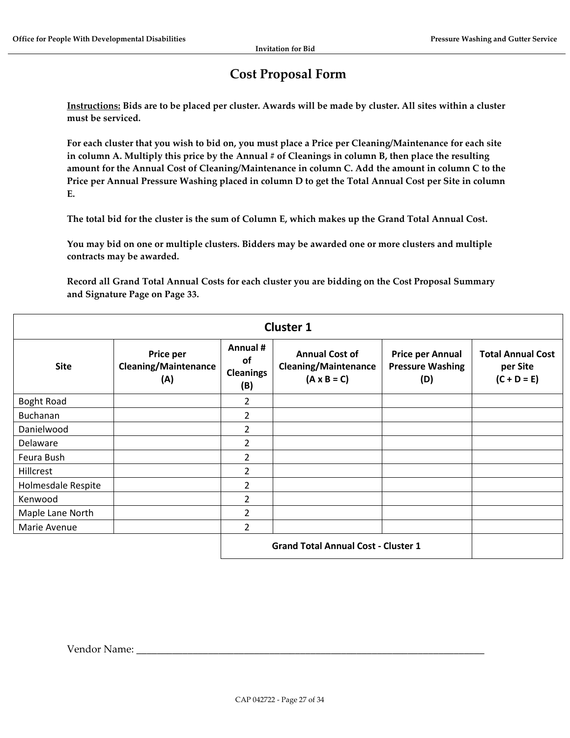# **Cost Proposal Form**

<span id="page-26-0"></span>**Instructions: Bids are to be placed per cluster. Awards will be made by cluster. All sites within a cluster must be serviced.**

**For each cluster that you wish to bid on, you must place a Price per Cleaning/Maintenance for each site in column A. Multiply this price by the Annual # of Cleanings in column B, then place the resulting amount for the Annual Cost of Cleaning/Maintenance in column C. Add the amount in column C to the Price per Annual Pressure Washing placed in column D to get the Total Annual Cost per Site in column E.**

**The total bid for the cluster is the sum of Column E, which makes up the Grand Total Annual Cost.**

**You may bid on one or multiple clusters. Bidders may be awarded one or more clusters and multiple contracts may be awarded.**

**Record all Grand Total Annual Costs for each cluster you are bidding on the Cost Proposal Summary and Signature Page on Page 33.**

| <b>Cluster 1</b>                           |                                                 |                                                  |                                                                            |                                                           |                                                       |  |
|--------------------------------------------|-------------------------------------------------|--------------------------------------------------|----------------------------------------------------------------------------|-----------------------------------------------------------|-------------------------------------------------------|--|
| <b>Site</b>                                | Price per<br><b>Cleaning/Maintenance</b><br>(A) | Annual #<br><b>of</b><br><b>Cleanings</b><br>(B) | <b>Annual Cost of</b><br><b>Cleaning/Maintenance</b><br>$(A \times B = C)$ | <b>Price per Annual</b><br><b>Pressure Washing</b><br>(D) | <b>Total Annual Cost</b><br>per Site<br>$(C + D = E)$ |  |
| <b>Boght Road</b>                          |                                                 | 2                                                |                                                                            |                                                           |                                                       |  |
| <b>Buchanan</b>                            |                                                 | 2                                                |                                                                            |                                                           |                                                       |  |
| Danielwood                                 |                                                 | $\overline{2}$                                   |                                                                            |                                                           |                                                       |  |
| Delaware                                   |                                                 | $\overline{2}$                                   |                                                                            |                                                           |                                                       |  |
| Feura Bush                                 |                                                 | $\overline{2}$                                   |                                                                            |                                                           |                                                       |  |
| Hillcrest                                  |                                                 | $\overline{2}$                                   |                                                                            |                                                           |                                                       |  |
| Holmesdale Respite                         |                                                 | $\overline{2}$                                   |                                                                            |                                                           |                                                       |  |
| Kenwood                                    |                                                 | 2                                                |                                                                            |                                                           |                                                       |  |
| Maple Lane North                           |                                                 | $\overline{2}$                                   |                                                                            |                                                           |                                                       |  |
| Marie Avenue                               |                                                 | $\overline{2}$                                   |                                                                            |                                                           |                                                       |  |
| <b>Grand Total Annual Cost - Cluster 1</b> |                                                 |                                                  |                                                                            |                                                           |                                                       |  |

Vendor Name: \_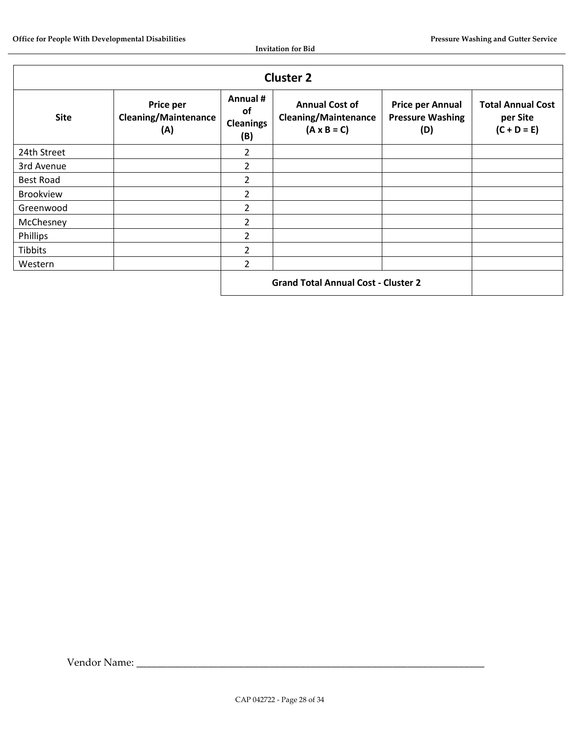| <b>Cluster 2</b>                           |                                                 |                                           |                                                                            |                                                           |                                                       |  |  |
|--------------------------------------------|-------------------------------------------------|-------------------------------------------|----------------------------------------------------------------------------|-----------------------------------------------------------|-------------------------------------------------------|--|--|
| <b>Site</b>                                | Price per<br><b>Cleaning/Maintenance</b><br>(A) | Annual #<br>of<br><b>Cleanings</b><br>(B) | <b>Annual Cost of</b><br><b>Cleaning/Maintenance</b><br>$(A \times B = C)$ | <b>Price per Annual</b><br><b>Pressure Washing</b><br>(D) | <b>Total Annual Cost</b><br>per Site<br>$(C + D = E)$ |  |  |
| 24th Street                                |                                                 | 2                                         |                                                                            |                                                           |                                                       |  |  |
| 3rd Avenue                                 |                                                 | $\overline{2}$                            |                                                                            |                                                           |                                                       |  |  |
| <b>Best Road</b>                           |                                                 | 2                                         |                                                                            |                                                           |                                                       |  |  |
| <b>Brookview</b>                           |                                                 | 2                                         |                                                                            |                                                           |                                                       |  |  |
| Greenwood                                  |                                                 | $\mathcal{P}$                             |                                                                            |                                                           |                                                       |  |  |
| McChesney                                  |                                                 | $\mathfrak z$                             |                                                                            |                                                           |                                                       |  |  |
| Phillips                                   |                                                 | 2                                         |                                                                            |                                                           |                                                       |  |  |
| <b>Tibbits</b>                             |                                                 | $\overline{2}$                            |                                                                            |                                                           |                                                       |  |  |
| Western                                    |                                                 | 2                                         |                                                                            |                                                           |                                                       |  |  |
| <b>Grand Total Annual Cost - Cluster 2</b> |                                                 |                                           |                                                                            |                                                           |                                                       |  |  |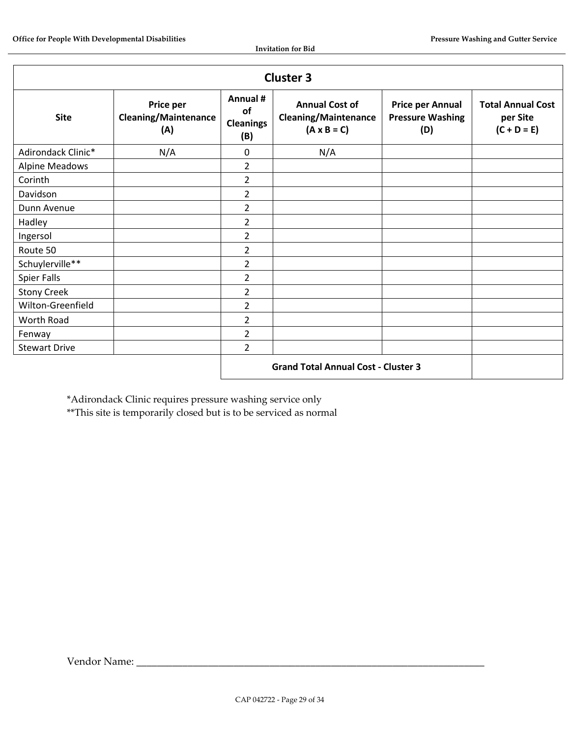| <b>Cluster 3</b>                           |                                                 |                                                  |                                                                            |                                                           |                                                       |  |
|--------------------------------------------|-------------------------------------------------|--------------------------------------------------|----------------------------------------------------------------------------|-----------------------------------------------------------|-------------------------------------------------------|--|
| <b>Site</b>                                | Price per<br><b>Cleaning/Maintenance</b><br>(A) | Annual #<br><b>of</b><br><b>Cleanings</b><br>(B) | <b>Annual Cost of</b><br><b>Cleaning/Maintenance</b><br>$(A \times B = C)$ | <b>Price per Annual</b><br><b>Pressure Washing</b><br>(D) | <b>Total Annual Cost</b><br>per Site<br>$(C + D = E)$ |  |
| Adirondack Clinic*                         | N/A                                             | $\mathbf 0$                                      | N/A                                                                        |                                                           |                                                       |  |
| <b>Alpine Meadows</b>                      |                                                 | $\overline{2}$                                   |                                                                            |                                                           |                                                       |  |
| Corinth                                    |                                                 | $\overline{2}$                                   |                                                                            |                                                           |                                                       |  |
| Davidson                                   |                                                 | $\overline{2}$                                   |                                                                            |                                                           |                                                       |  |
| Dunn Avenue                                |                                                 | $\overline{2}$                                   |                                                                            |                                                           |                                                       |  |
| Hadley                                     |                                                 | $\overline{2}$                                   |                                                                            |                                                           |                                                       |  |
| Ingersol                                   |                                                 | $\overline{2}$                                   |                                                                            |                                                           |                                                       |  |
| Route 50                                   |                                                 | $\overline{2}$                                   |                                                                            |                                                           |                                                       |  |
| Schuylerville**                            |                                                 | $\overline{2}$                                   |                                                                            |                                                           |                                                       |  |
| <b>Spier Falls</b>                         |                                                 | $\overline{2}$                                   |                                                                            |                                                           |                                                       |  |
| <b>Stony Creek</b>                         |                                                 | $\overline{2}$                                   |                                                                            |                                                           |                                                       |  |
| Wilton-Greenfield                          |                                                 | $\overline{2}$                                   |                                                                            |                                                           |                                                       |  |
| Worth Road                                 |                                                 | $\overline{2}$                                   |                                                                            |                                                           |                                                       |  |
| Fenway                                     |                                                 | $\overline{2}$                                   |                                                                            |                                                           |                                                       |  |
| <b>Stewart Drive</b>                       |                                                 | $\overline{2}$                                   |                                                                            |                                                           |                                                       |  |
| <b>Grand Total Annual Cost - Cluster 3</b> |                                                 |                                                  |                                                                            |                                                           |                                                       |  |

\*Adirondack Clinic requires pressure washing service only

\*\*This site is temporarily closed but is to be serviced as normal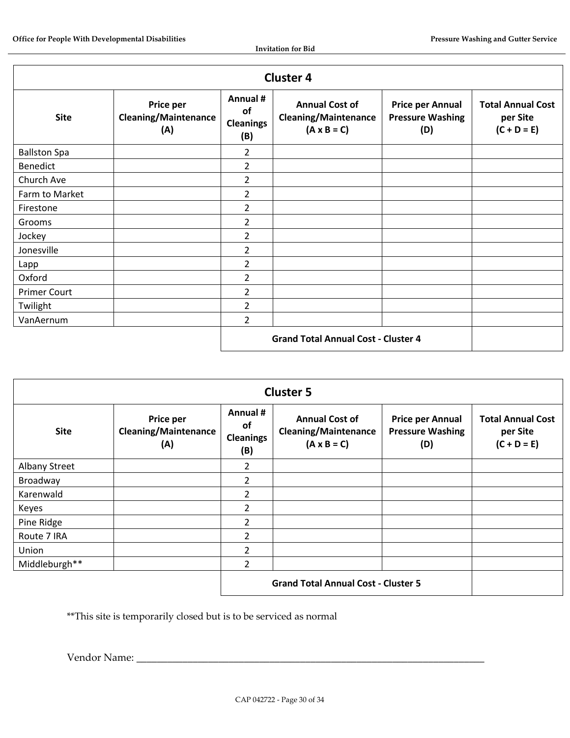| <b>Cluster 4</b>    |                                                 |                                                  |                                                                            |                                                           |                                                       |
|---------------------|-------------------------------------------------|--------------------------------------------------|----------------------------------------------------------------------------|-----------------------------------------------------------|-------------------------------------------------------|
| <b>Site</b>         | Price per<br><b>Cleaning/Maintenance</b><br>(A) | Annual #<br><b>of</b><br><b>Cleanings</b><br>(B) | <b>Annual Cost of</b><br><b>Cleaning/Maintenance</b><br>$(A \times B = C)$ | <b>Price per Annual</b><br><b>Pressure Washing</b><br>(D) | <b>Total Annual Cost</b><br>per Site<br>$(C + D = E)$ |
| <b>Ballston Spa</b> |                                                 | $\overline{2}$                                   |                                                                            |                                                           |                                                       |
| <b>Benedict</b>     |                                                 | $\overline{2}$                                   |                                                                            |                                                           |                                                       |
| Church Ave          |                                                 | $\overline{2}$                                   |                                                                            |                                                           |                                                       |
| Farm to Market      |                                                 | $\overline{2}$                                   |                                                                            |                                                           |                                                       |
| Firestone           |                                                 | $\overline{2}$                                   |                                                                            |                                                           |                                                       |
| Grooms              |                                                 | $\overline{2}$                                   |                                                                            |                                                           |                                                       |
| Jockey              |                                                 | $\overline{2}$                                   |                                                                            |                                                           |                                                       |
| Jonesville          |                                                 | $\overline{2}$                                   |                                                                            |                                                           |                                                       |
| Lapp                |                                                 | $\overline{2}$                                   |                                                                            |                                                           |                                                       |
| Oxford              |                                                 | $\overline{2}$                                   |                                                                            |                                                           |                                                       |
| <b>Primer Court</b> |                                                 | 2                                                |                                                                            |                                                           |                                                       |
| Twilight            |                                                 | $\overline{2}$                                   |                                                                            |                                                           |                                                       |
| VanAernum           |                                                 | $\overline{2}$                                   |                                                                            |                                                           |                                                       |
|                     | <b>Grand Total Annual Cost - Cluster 4</b>      |                                                  |                                                                            |                                                           |                                                       |

| <b>Cluster 5</b>     |                                                 |                                                  |                                                                            |                                                           |                                                       |
|----------------------|-------------------------------------------------|--------------------------------------------------|----------------------------------------------------------------------------|-----------------------------------------------------------|-------------------------------------------------------|
| <b>Site</b>          | Price per<br><b>Cleaning/Maintenance</b><br>(A) | Annual #<br><b>of</b><br><b>Cleanings</b><br>(B) | <b>Annual Cost of</b><br><b>Cleaning/Maintenance</b><br>$(A \times B = C)$ | <b>Price per Annual</b><br><b>Pressure Washing</b><br>(D) | <b>Total Annual Cost</b><br>per Site<br>$(C + D = E)$ |
| <b>Albany Street</b> |                                                 | 2                                                |                                                                            |                                                           |                                                       |
| Broadway             |                                                 | 2                                                |                                                                            |                                                           |                                                       |
| Karenwald            |                                                 | $\overline{2}$                                   |                                                                            |                                                           |                                                       |
| Keyes                |                                                 | $\overline{2}$                                   |                                                                            |                                                           |                                                       |
| Pine Ridge           |                                                 | $\overline{2}$                                   |                                                                            |                                                           |                                                       |
| Route 7 IRA          |                                                 | $\mathcal{L}$                                    |                                                                            |                                                           |                                                       |
| Union                |                                                 | 2                                                |                                                                            |                                                           |                                                       |
| Middleburgh**        |                                                 | $\mathcal{P}$                                    |                                                                            |                                                           |                                                       |
|                      |                                                 |                                                  | <b>Grand Total Annual Cost - Cluster 5</b>                                 |                                                           |                                                       |

\*\*This site is temporarily closed but is to be serviced as normal

Vendor Name: \_\_\_\_\_\_\_\_\_\_\_\_\_\_\_\_\_\_\_\_\_\_\_\_\_\_\_\_\_\_\_\_\_\_\_\_\_\_\_\_\_\_\_\_\_\_\_\_\_\_\_\_\_\_\_\_\_\_\_\_\_\_\_\_\_\_\_\_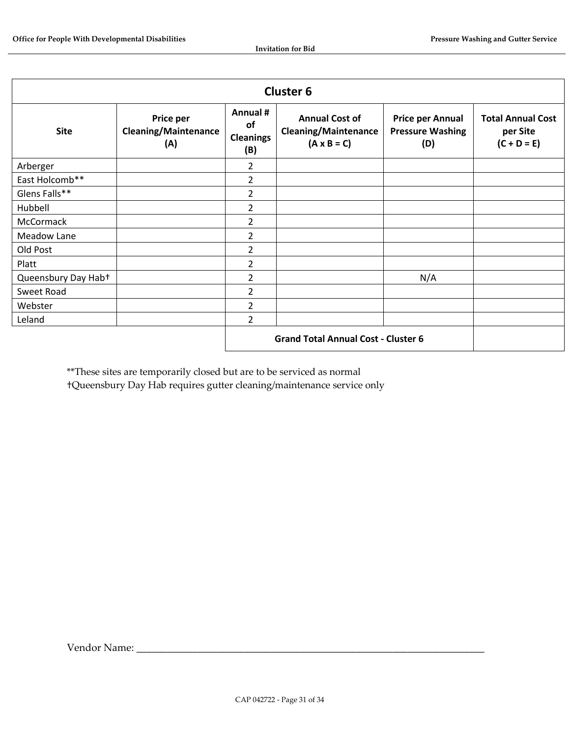| <b>Cluster 6</b>    |                                                 |                                            |                                                                            |                                                           |                                                       |
|---------------------|-------------------------------------------------|--------------------------------------------|----------------------------------------------------------------------------|-----------------------------------------------------------|-------------------------------------------------------|
| <b>Site</b>         | Price per<br><b>Cleaning/Maintenance</b><br>(A) | Annual #<br>of<br><b>Cleanings</b><br>(B)  | <b>Annual Cost of</b><br><b>Cleaning/Maintenance</b><br>$(A \times B = C)$ | <b>Price per Annual</b><br><b>Pressure Washing</b><br>(D) | <b>Total Annual Cost</b><br>per Site<br>$(C + D = E)$ |
| Arberger            |                                                 | 2                                          |                                                                            |                                                           |                                                       |
| East Holcomb**      |                                                 | 2                                          |                                                                            |                                                           |                                                       |
| Glens Falls**       |                                                 | $\overline{2}$                             |                                                                            |                                                           |                                                       |
| Hubbell             |                                                 | $\overline{2}$                             |                                                                            |                                                           |                                                       |
| McCormack           |                                                 | $\overline{2}$                             |                                                                            |                                                           |                                                       |
| Meadow Lane         |                                                 | 2                                          |                                                                            |                                                           |                                                       |
| Old Post            |                                                 | 2                                          |                                                                            |                                                           |                                                       |
| Platt               |                                                 | $\overline{2}$                             |                                                                            |                                                           |                                                       |
| Queensbury Day Hab+ |                                                 | $\overline{2}$                             |                                                                            | N/A                                                       |                                                       |
| Sweet Road          |                                                 | 2                                          |                                                                            |                                                           |                                                       |
| Webster             |                                                 | 2                                          |                                                                            |                                                           |                                                       |
| Leland              |                                                 | $\overline{2}$                             |                                                                            |                                                           |                                                       |
|                     |                                                 | <b>Grand Total Annual Cost - Cluster 6</b> |                                                                            |                                                           |                                                       |

\*\*These sites are temporarily closed but are to be serviced as normal

†Queensbury Day Hab requires gutter cleaning/maintenance service only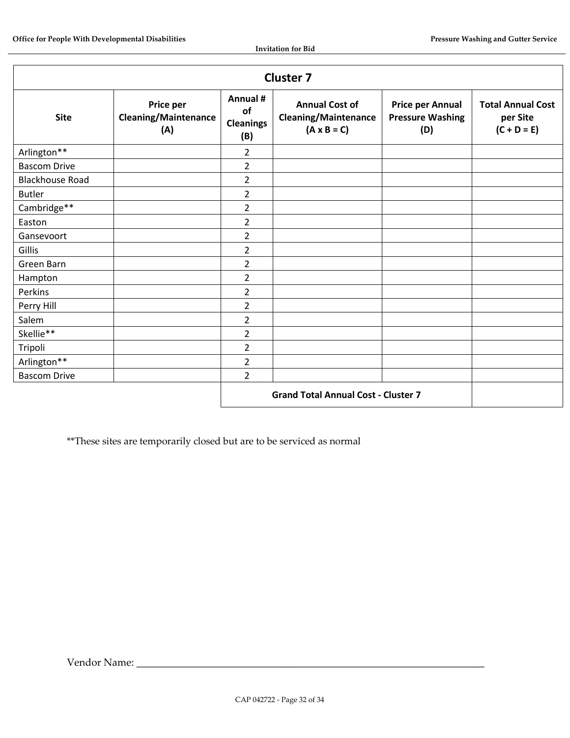| <b>Cluster 7</b>       |                                                 |                                           |                                                                            |                                                           |                                                       |
|------------------------|-------------------------------------------------|-------------------------------------------|----------------------------------------------------------------------------|-----------------------------------------------------------|-------------------------------------------------------|
| <b>Site</b>            | Price per<br><b>Cleaning/Maintenance</b><br>(A) | Annual #<br>of<br><b>Cleanings</b><br>(B) | <b>Annual Cost of</b><br><b>Cleaning/Maintenance</b><br>$(A \times B = C)$ | <b>Price per Annual</b><br><b>Pressure Washing</b><br>(D) | <b>Total Annual Cost</b><br>per Site<br>$(C + D = E)$ |
| Arlington**            |                                                 | $\overline{2}$                            |                                                                            |                                                           |                                                       |
| <b>Bascom Drive</b>    |                                                 | $\overline{2}$                            |                                                                            |                                                           |                                                       |
| <b>Blackhouse Road</b> |                                                 | $\overline{2}$                            |                                                                            |                                                           |                                                       |
| <b>Butler</b>          |                                                 | $\overline{2}$                            |                                                                            |                                                           |                                                       |
| Cambridge**            |                                                 | $\overline{2}$                            |                                                                            |                                                           |                                                       |
| Easton                 |                                                 | 2                                         |                                                                            |                                                           |                                                       |
| Gansevoort             |                                                 | $\overline{2}$                            |                                                                            |                                                           |                                                       |
| Gillis                 |                                                 | $\overline{2}$                            |                                                                            |                                                           |                                                       |
| Green Barn             |                                                 | $\overline{2}$                            |                                                                            |                                                           |                                                       |
| Hampton                |                                                 | $\overline{2}$                            |                                                                            |                                                           |                                                       |
| Perkins                |                                                 | $\overline{2}$                            |                                                                            |                                                           |                                                       |
| Perry Hill             |                                                 | $\overline{2}$                            |                                                                            |                                                           |                                                       |
| Salem                  |                                                 | $\overline{2}$                            |                                                                            |                                                           |                                                       |
| Skellie**              |                                                 | $\overline{2}$                            |                                                                            |                                                           |                                                       |
| Tripoli                |                                                 | $\overline{2}$                            |                                                                            |                                                           |                                                       |
| Arlington**            |                                                 | $\overline{2}$                            |                                                                            |                                                           |                                                       |
| <b>Bascom Drive</b>    |                                                 | $\overline{2}$                            |                                                                            |                                                           |                                                       |
|                        |                                                 |                                           | <b>Grand Total Annual Cost - Cluster 7</b>                                 |                                                           |                                                       |

\*\*These sites are temporarily closed but are to be serviced as normal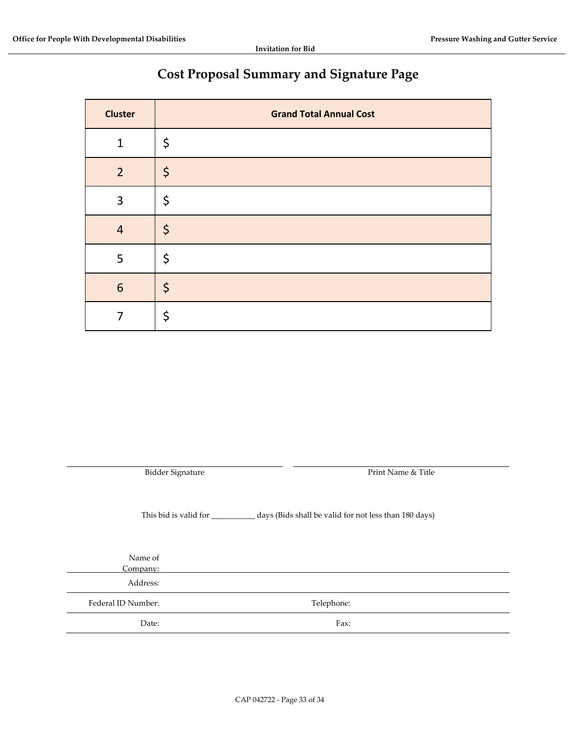# **Cost Proposal Summary and Signature Page**

| <b>Cluster</b> | <b>Grand Total Annual Cost</b> |
|----------------|--------------------------------|
| $\mathbf{1}$   | \$                             |
| $\overline{2}$ | $\varsigma$                    |
| 3              | \$                             |
| $\overline{4}$ | $\varsigma$                    |
| 5              | \$                             |
| 6              | $\varsigma$                    |
|                | \$                             |

Bidder Signature **Print Name & Title** This bid is valid for \_\_\_\_\_\_\_\_\_\_\_ days (Bids shall be valid for not less than 180 days) Name of Company: Address: Federal ID Number: Telephone: Date: Fax: